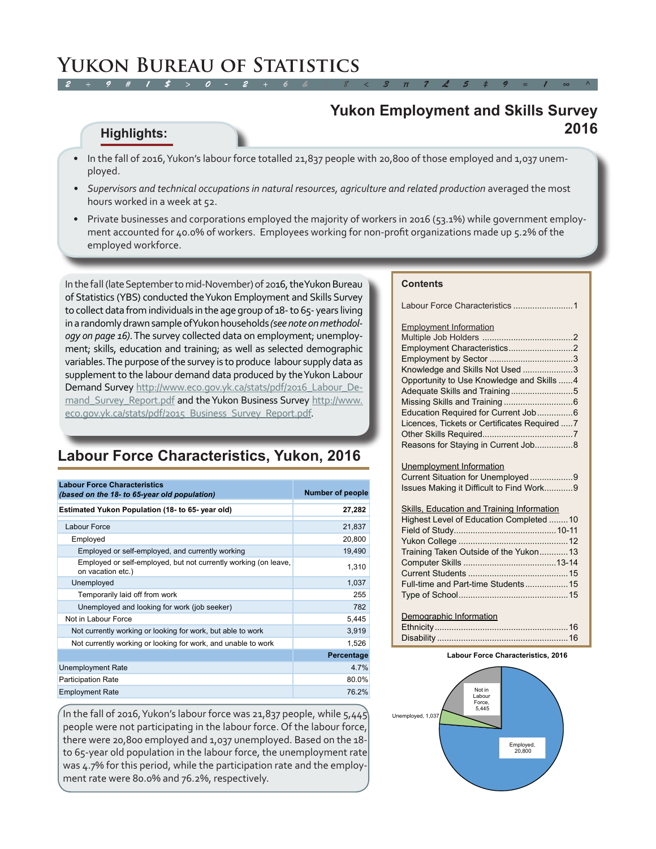#### **Yukon Employment and Skills Survey 2016**

#### **Highlights:**

- In the fall of 2016, Yukon's labour force totalled 21,837 people with 20,800 of those employed and 1,037 unemployed.
- *• Supervisors and technical occupations in natural resources, agriculture and related production* averaged the most hours worked in a week at 52.
- Private businesses and corporations employed the majority of workers in 2016 (53.1%) while government employment accounted for 40.0% of workers. Employees working for non-profit organizations made up 5.2% of the employed workforce.

In the fall (late September to mid-November) of 2016, the Yukon Bureau of Statistics (YBS) conducted the Yukon Employment and Skills Survey to collect data from individuals in the age group of 18- to 65- years living in a randomly drawn sample of Yukon households *(see note on methodology on page 16)*. The survey collected data on employment; unemployment; skills, education and training; as well as selected demographic variables. The purpose of the survey is to produce labour supply data as supplement to the labour demand data produced by the Yukon Labour Demand Survey [http://www.eco.gov.yk.ca/stats/pdf/2016\\_Labour\\_De](http://www.eco.gov.yk.ca/stats/pdf/2016_Labour_Demand_Survey_Report.pdf)[mand\\_Survey\\_Report.pdf](http://www.eco.gov.yk.ca/stats/pdf/2016_Labour_Demand_Survey_Report.pdf) and the Yukon Business Survey [http://www.](http://www.eco.gov.yk.ca/stats/pdf/2015_Business_Survey_Report.pdf) [eco.gov.yk.ca/stats/pdf/2015\\_Business\\_Survey\\_Report.pdf](http://www.eco.gov.yk.ca/stats/pdf/2015_Business_Survey_Report.pdf).

### **Labour Force Characteristics, Yukon, 2016**

| <b>Labour Force Characteristics</b><br>(based on the 18- to 65-year old population)  | <b>Number of people</b> |
|--------------------------------------------------------------------------------------|-------------------------|
| Estimated Yukon Population (18- to 65-year old)                                      | 27,282                  |
| <b>Labour Force</b>                                                                  | 21,837                  |
| Employed                                                                             | 20,800                  |
| Employed or self-employed, and currently working                                     | 19,490                  |
| Employed or self-employed, but not currently working (on leave,<br>on vacation etc.) | 1,310                   |
| Unemployed                                                                           | 1.037                   |
| Temporarily laid off from work                                                       | 255                     |
| Unemployed and looking for work (job seeker)                                         | 782                     |
| Not in Labour Force                                                                  | 5,445                   |
| Not currently working or looking for work, but able to work                          | 3,919                   |
| Not currently working or looking for work, and unable to work                        | 1,526                   |
|                                                                                      | Percentage              |
| <b>Unemployment Rate</b>                                                             | 4.7%                    |
| <b>Participation Rate</b>                                                            | 80.0%                   |
| <b>Employment Rate</b>                                                               | 76.2%                   |

In the fall of 2016, Yukon's labour force was 21,837 people, while  $5,445$ people were not participating in the labour force. Of the labour force, there were 20,800 employed and 1,037 unemployed. Based on the 18 to 65-year old population in the labour force, the unemployment rate was 4.7% for this period, while the participation rate and the employment rate were 80.0% and 76.2%, respectively.

#### **Contents**

Labour Force Characteristics ...................

| <b>Employment Information</b>                 |  |
|-----------------------------------------------|--|
|                                               |  |
|                                               |  |
|                                               |  |
| Knowledge and Skills Not Used 3               |  |
| Opportunity to Use Knowledge and Skills  4    |  |
|                                               |  |
|                                               |  |
|                                               |  |
| Licences, Tickets or Certificates Required  7 |  |
|                                               |  |
| Reasons for Staying in Current Job8           |  |
|                                               |  |

Unemployment Information Current Situation for Unemployed ............ Issues Making it Difficult to Find Work............9

#### Skills, Education and Training Information

| Highest Level of Education Completed 10 |  |
|-----------------------------------------|--|
|                                         |  |
|                                         |  |
| Training Taken Outside of the Yukon13   |  |
|                                         |  |
|                                         |  |
|                                         |  |
|                                         |  |
|                                         |  |
| Demographic Information                 |  |
|                                         |  |

#### Ethnicit[y........................................................16](#page-2-0) Disability [.......................................................16](#page-4-0)

#### **Labour Force Characteristics, 2016**

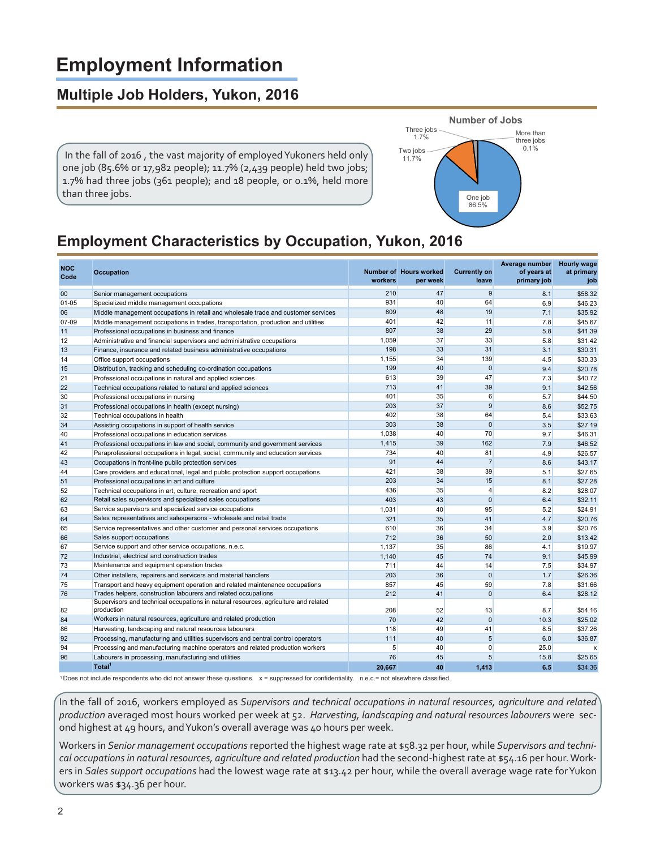# **Employment Information**

# **Multiple Job Holders, Yukon, 2016**

 In the fall of 2016 , the vast majority of employed Yukoners held only one job (85.6% or 17,982 people); 11.7% (2,439 people) held two jobs; 1.7% had three jobs (361 people); and 18 people, or 0.1%, held more than three jobs.



# **Employment Characteristics by Occupation, Yukon, 2016**

| 47<br>9<br>210<br>8.1<br>00<br>Senior management occupations<br>931<br>40<br>64<br>$01 - 05$<br>6.9<br>Specialized middle management occupations<br>809<br>48<br>19<br>7.1<br>06<br>Middle management occupations in retail and wholesale trade and customer services<br>07-09<br>401<br>42<br>11<br>7.8<br>Middle management occupations in trades, transportation, production and utilities<br>38<br>29<br>807<br>5.8<br>11<br>Professional occupations in business and finance<br>37<br>33<br>1,059<br>5.8<br>12<br>Administrative and financial supervisors and administrative occupations<br>198<br>33<br>31<br>\$30.31<br>3.1<br>13<br>Finance, insurance and related business administrative occupations<br>139<br>1,155<br>34<br>4.5<br>14<br>Office support occupations<br>199<br>$\Omega$<br>40<br>9.4<br>15<br>Distribution, tracking and scheduling co-ordination occupations<br>613<br>39<br>47<br>21<br>7.3<br>Professional occupations in natural and applied sciences<br>713<br>41<br>39<br>22<br>9.1<br>Technical occupations related to natural and applied sciences<br>6<br>35<br>30<br>401<br>Professional occupations in nursing<br>5.7<br>203<br>37<br>9<br>31<br>8.6<br>Professional occupations in health (except nursing)<br>402<br>38<br>64<br>32<br>Technical occupations in health<br>5.4<br>38<br>$\mathbf 0$<br>303<br>34<br>Assisting occupations in support of health service<br>3.5<br>1.038<br>40<br>70<br>9.7<br>40<br>Professional occupations in education services<br>1.415<br>39<br>162<br>7.9<br>Professional occupations in law and social, community and government services<br>41<br>734<br>40<br>81<br>4.9<br>42<br>Paraprofessional occupations in legal, social, community and education services<br>91<br>44<br>$\overline{7}$<br>8.6<br>43<br>Occupations in front-line public protection services<br>421<br>38<br>39<br>5.1<br>Care providers and educational, legal and public protection support occupations<br>44<br>34<br>15<br>203<br>51<br>Professional occupations in art and culture<br>8.1<br>436<br>35<br>$\overline{4}$<br>52<br>8.2<br>Technical occupations in art, culture, recreation and sport<br>Retail sales supervisors and specialized sales occupations<br>\$32.11<br>62<br>403<br>43<br>$\Omega$<br>6.4<br>Service supervisors and specialized service occupations<br>95<br>5.2<br>1,031<br>40<br>63<br>Sales representatives and salespersons - wholesale and retail trade<br>41<br>321<br>35<br>4.7<br>64<br>610<br>36<br>34<br>3.9<br>65<br>Service representatives and other customer and personal services occupations<br>712<br>36<br>50<br>2.0<br>66<br>Sales support occupations<br>Service support and other service occupations, n.e.c.<br>1.137<br>35<br>86<br>4.1<br>67<br>72<br>Industrial, electrical and construction trades<br>9.1<br>1,140<br>45<br>74<br>7.5<br>73<br>Maintenance and equipment operation trades<br>711<br>44<br>14<br>$\Omega$<br>1.7<br>74<br>203<br>36<br>Other installers, repairers and servicers and material handlers<br>59<br>7.8<br>75<br>857<br>45<br>Transport and heavy equipment operation and related maintenance occupations<br>$\Omega$<br>76<br>Trades helpers, construction labourers and related occupations<br>212<br>41<br>6.4<br>Supervisors and technical occupations in natural resources, agriculture and related<br>208<br>52<br>13<br>8.7<br>82<br>production<br>$\mathbf{0}$<br>84<br>Workers in natural resources, agriculture and related production<br>70<br>42<br>10.3<br>118<br>41<br>8.5<br>86<br>Harvesting, landscaping and natural resources labourers<br>49<br>92<br>111<br>40<br>5<br>6.0<br>\$36.87<br>Processing, manufacturing and utilities supervisors and central control operators<br>5<br>94<br>40<br>$\mathbf 0$<br>25.0<br>Processing and manufacturing machine operators and related production workers<br>5<br>96<br>Labourers in processing, manufacturing and utilities<br>76<br>45<br>15.8<br>Total <sup>1</sup><br>20,667<br>40<br>1,413<br>6.5 | <b>NOC</b><br>Code | <b>Occupation</b> | workers | Number of Hours worked<br>per week | <b>Currently on</b><br>leave | Average number<br>of years at<br>primary job | <b>Hourly wage</b><br>at primary<br>job |
|-----------------------------------------------------------------------------------------------------------------------------------------------------------------------------------------------------------------------------------------------------------------------------------------------------------------------------------------------------------------------------------------------------------------------------------------------------------------------------------------------------------------------------------------------------------------------------------------------------------------------------------------------------------------------------------------------------------------------------------------------------------------------------------------------------------------------------------------------------------------------------------------------------------------------------------------------------------------------------------------------------------------------------------------------------------------------------------------------------------------------------------------------------------------------------------------------------------------------------------------------------------------------------------------------------------------------------------------------------------------------------------------------------------------------------------------------------------------------------------------------------------------------------------------------------------------------------------------------------------------------------------------------------------------------------------------------------------------------------------------------------------------------------------------------------------------------------------------------------------------------------------------------------------------------------------------------------------------------------------------------------------------------------------------------------------------------------------------------------------------------------------------------------------------------------------------------------------------------------------------------------------------------------------------------------------------------------------------------------------------------------------------------------------------------------------------------------------------------------------------------------------------------------------------------------------------------------------------------------------------------------------------------------------------------------------------------------------------------------------------------------------------------------------------------------------------------------------------------------------------------------------------------------------------------------------------------------------------------------------------------------------------------------------------------------------------------------------------------------------------------------------------------------------------------------------------------------------------------------------------------------------------------------------------------------------------------------------------------------------------------------------------------------------------------------------------------------------------------------------------------------------------------------------------------------------------------------------------------------------------------------------------------------------------------------------------------------------------------------------------------------------------------------------------------------------------------------------------------------------------------------------------------------------------------------------------------------------------------------------------------------------------|--------------------|-------------------|---------|------------------------------------|------------------------------|----------------------------------------------|-----------------------------------------|
|                                                                                                                                                                                                                                                                                                                                                                                                                                                                                                                                                                                                                                                                                                                                                                                                                                                                                                                                                                                                                                                                                                                                                                                                                                                                                                                                                                                                                                                                                                                                                                                                                                                                                                                                                                                                                                                                                                                                                                                                                                                                                                                                                                                                                                                                                                                                                                                                                                                                                                                                                                                                                                                                                                                                                                                                                                                                                                                                                                                                                                                                                                                                                                                                                                                                                                                                                                                                                                                                                                                                                                                                                                                                                                                                                                                                                                                                                                                                                                                                                 |                    |                   |         |                                    |                              |                                              | \$58.32                                 |
|                                                                                                                                                                                                                                                                                                                                                                                                                                                                                                                                                                                                                                                                                                                                                                                                                                                                                                                                                                                                                                                                                                                                                                                                                                                                                                                                                                                                                                                                                                                                                                                                                                                                                                                                                                                                                                                                                                                                                                                                                                                                                                                                                                                                                                                                                                                                                                                                                                                                                                                                                                                                                                                                                                                                                                                                                                                                                                                                                                                                                                                                                                                                                                                                                                                                                                                                                                                                                                                                                                                                                                                                                                                                                                                                                                                                                                                                                                                                                                                                                 |                    |                   |         |                                    |                              |                                              | \$46.23                                 |
|                                                                                                                                                                                                                                                                                                                                                                                                                                                                                                                                                                                                                                                                                                                                                                                                                                                                                                                                                                                                                                                                                                                                                                                                                                                                                                                                                                                                                                                                                                                                                                                                                                                                                                                                                                                                                                                                                                                                                                                                                                                                                                                                                                                                                                                                                                                                                                                                                                                                                                                                                                                                                                                                                                                                                                                                                                                                                                                                                                                                                                                                                                                                                                                                                                                                                                                                                                                                                                                                                                                                                                                                                                                                                                                                                                                                                                                                                                                                                                                                                 |                    |                   |         |                                    |                              |                                              | \$35.92                                 |
|                                                                                                                                                                                                                                                                                                                                                                                                                                                                                                                                                                                                                                                                                                                                                                                                                                                                                                                                                                                                                                                                                                                                                                                                                                                                                                                                                                                                                                                                                                                                                                                                                                                                                                                                                                                                                                                                                                                                                                                                                                                                                                                                                                                                                                                                                                                                                                                                                                                                                                                                                                                                                                                                                                                                                                                                                                                                                                                                                                                                                                                                                                                                                                                                                                                                                                                                                                                                                                                                                                                                                                                                                                                                                                                                                                                                                                                                                                                                                                                                                 |                    |                   |         |                                    |                              |                                              | \$45.67                                 |
|                                                                                                                                                                                                                                                                                                                                                                                                                                                                                                                                                                                                                                                                                                                                                                                                                                                                                                                                                                                                                                                                                                                                                                                                                                                                                                                                                                                                                                                                                                                                                                                                                                                                                                                                                                                                                                                                                                                                                                                                                                                                                                                                                                                                                                                                                                                                                                                                                                                                                                                                                                                                                                                                                                                                                                                                                                                                                                                                                                                                                                                                                                                                                                                                                                                                                                                                                                                                                                                                                                                                                                                                                                                                                                                                                                                                                                                                                                                                                                                                                 |                    |                   |         |                                    |                              |                                              | \$41.39                                 |
|                                                                                                                                                                                                                                                                                                                                                                                                                                                                                                                                                                                                                                                                                                                                                                                                                                                                                                                                                                                                                                                                                                                                                                                                                                                                                                                                                                                                                                                                                                                                                                                                                                                                                                                                                                                                                                                                                                                                                                                                                                                                                                                                                                                                                                                                                                                                                                                                                                                                                                                                                                                                                                                                                                                                                                                                                                                                                                                                                                                                                                                                                                                                                                                                                                                                                                                                                                                                                                                                                                                                                                                                                                                                                                                                                                                                                                                                                                                                                                                                                 |                    |                   |         |                                    |                              |                                              | \$31.42                                 |
|                                                                                                                                                                                                                                                                                                                                                                                                                                                                                                                                                                                                                                                                                                                                                                                                                                                                                                                                                                                                                                                                                                                                                                                                                                                                                                                                                                                                                                                                                                                                                                                                                                                                                                                                                                                                                                                                                                                                                                                                                                                                                                                                                                                                                                                                                                                                                                                                                                                                                                                                                                                                                                                                                                                                                                                                                                                                                                                                                                                                                                                                                                                                                                                                                                                                                                                                                                                                                                                                                                                                                                                                                                                                                                                                                                                                                                                                                                                                                                                                                 |                    |                   |         |                                    |                              |                                              |                                         |
|                                                                                                                                                                                                                                                                                                                                                                                                                                                                                                                                                                                                                                                                                                                                                                                                                                                                                                                                                                                                                                                                                                                                                                                                                                                                                                                                                                                                                                                                                                                                                                                                                                                                                                                                                                                                                                                                                                                                                                                                                                                                                                                                                                                                                                                                                                                                                                                                                                                                                                                                                                                                                                                                                                                                                                                                                                                                                                                                                                                                                                                                                                                                                                                                                                                                                                                                                                                                                                                                                                                                                                                                                                                                                                                                                                                                                                                                                                                                                                                                                 |                    |                   |         |                                    |                              |                                              | \$30.33                                 |
|                                                                                                                                                                                                                                                                                                                                                                                                                                                                                                                                                                                                                                                                                                                                                                                                                                                                                                                                                                                                                                                                                                                                                                                                                                                                                                                                                                                                                                                                                                                                                                                                                                                                                                                                                                                                                                                                                                                                                                                                                                                                                                                                                                                                                                                                                                                                                                                                                                                                                                                                                                                                                                                                                                                                                                                                                                                                                                                                                                                                                                                                                                                                                                                                                                                                                                                                                                                                                                                                                                                                                                                                                                                                                                                                                                                                                                                                                                                                                                                                                 |                    |                   |         |                                    |                              |                                              | \$20.78                                 |
|                                                                                                                                                                                                                                                                                                                                                                                                                                                                                                                                                                                                                                                                                                                                                                                                                                                                                                                                                                                                                                                                                                                                                                                                                                                                                                                                                                                                                                                                                                                                                                                                                                                                                                                                                                                                                                                                                                                                                                                                                                                                                                                                                                                                                                                                                                                                                                                                                                                                                                                                                                                                                                                                                                                                                                                                                                                                                                                                                                                                                                                                                                                                                                                                                                                                                                                                                                                                                                                                                                                                                                                                                                                                                                                                                                                                                                                                                                                                                                                                                 |                    |                   |         |                                    |                              |                                              | \$40.72                                 |
|                                                                                                                                                                                                                                                                                                                                                                                                                                                                                                                                                                                                                                                                                                                                                                                                                                                                                                                                                                                                                                                                                                                                                                                                                                                                                                                                                                                                                                                                                                                                                                                                                                                                                                                                                                                                                                                                                                                                                                                                                                                                                                                                                                                                                                                                                                                                                                                                                                                                                                                                                                                                                                                                                                                                                                                                                                                                                                                                                                                                                                                                                                                                                                                                                                                                                                                                                                                                                                                                                                                                                                                                                                                                                                                                                                                                                                                                                                                                                                                                                 |                    |                   |         |                                    |                              |                                              | \$42.56                                 |
|                                                                                                                                                                                                                                                                                                                                                                                                                                                                                                                                                                                                                                                                                                                                                                                                                                                                                                                                                                                                                                                                                                                                                                                                                                                                                                                                                                                                                                                                                                                                                                                                                                                                                                                                                                                                                                                                                                                                                                                                                                                                                                                                                                                                                                                                                                                                                                                                                                                                                                                                                                                                                                                                                                                                                                                                                                                                                                                                                                                                                                                                                                                                                                                                                                                                                                                                                                                                                                                                                                                                                                                                                                                                                                                                                                                                                                                                                                                                                                                                                 |                    |                   |         |                                    |                              |                                              | \$44.50                                 |
|                                                                                                                                                                                                                                                                                                                                                                                                                                                                                                                                                                                                                                                                                                                                                                                                                                                                                                                                                                                                                                                                                                                                                                                                                                                                                                                                                                                                                                                                                                                                                                                                                                                                                                                                                                                                                                                                                                                                                                                                                                                                                                                                                                                                                                                                                                                                                                                                                                                                                                                                                                                                                                                                                                                                                                                                                                                                                                                                                                                                                                                                                                                                                                                                                                                                                                                                                                                                                                                                                                                                                                                                                                                                                                                                                                                                                                                                                                                                                                                                                 |                    |                   |         |                                    |                              |                                              | \$52.75                                 |
|                                                                                                                                                                                                                                                                                                                                                                                                                                                                                                                                                                                                                                                                                                                                                                                                                                                                                                                                                                                                                                                                                                                                                                                                                                                                                                                                                                                                                                                                                                                                                                                                                                                                                                                                                                                                                                                                                                                                                                                                                                                                                                                                                                                                                                                                                                                                                                                                                                                                                                                                                                                                                                                                                                                                                                                                                                                                                                                                                                                                                                                                                                                                                                                                                                                                                                                                                                                                                                                                                                                                                                                                                                                                                                                                                                                                                                                                                                                                                                                                                 |                    |                   |         |                                    |                              |                                              | \$33.63                                 |
|                                                                                                                                                                                                                                                                                                                                                                                                                                                                                                                                                                                                                                                                                                                                                                                                                                                                                                                                                                                                                                                                                                                                                                                                                                                                                                                                                                                                                                                                                                                                                                                                                                                                                                                                                                                                                                                                                                                                                                                                                                                                                                                                                                                                                                                                                                                                                                                                                                                                                                                                                                                                                                                                                                                                                                                                                                                                                                                                                                                                                                                                                                                                                                                                                                                                                                                                                                                                                                                                                                                                                                                                                                                                                                                                                                                                                                                                                                                                                                                                                 |                    |                   |         |                                    |                              |                                              | \$27.19                                 |
|                                                                                                                                                                                                                                                                                                                                                                                                                                                                                                                                                                                                                                                                                                                                                                                                                                                                                                                                                                                                                                                                                                                                                                                                                                                                                                                                                                                                                                                                                                                                                                                                                                                                                                                                                                                                                                                                                                                                                                                                                                                                                                                                                                                                                                                                                                                                                                                                                                                                                                                                                                                                                                                                                                                                                                                                                                                                                                                                                                                                                                                                                                                                                                                                                                                                                                                                                                                                                                                                                                                                                                                                                                                                                                                                                                                                                                                                                                                                                                                                                 |                    |                   |         |                                    |                              |                                              | \$46.31                                 |
|                                                                                                                                                                                                                                                                                                                                                                                                                                                                                                                                                                                                                                                                                                                                                                                                                                                                                                                                                                                                                                                                                                                                                                                                                                                                                                                                                                                                                                                                                                                                                                                                                                                                                                                                                                                                                                                                                                                                                                                                                                                                                                                                                                                                                                                                                                                                                                                                                                                                                                                                                                                                                                                                                                                                                                                                                                                                                                                                                                                                                                                                                                                                                                                                                                                                                                                                                                                                                                                                                                                                                                                                                                                                                                                                                                                                                                                                                                                                                                                                                 |                    |                   |         |                                    |                              |                                              | \$46.52                                 |
|                                                                                                                                                                                                                                                                                                                                                                                                                                                                                                                                                                                                                                                                                                                                                                                                                                                                                                                                                                                                                                                                                                                                                                                                                                                                                                                                                                                                                                                                                                                                                                                                                                                                                                                                                                                                                                                                                                                                                                                                                                                                                                                                                                                                                                                                                                                                                                                                                                                                                                                                                                                                                                                                                                                                                                                                                                                                                                                                                                                                                                                                                                                                                                                                                                                                                                                                                                                                                                                                                                                                                                                                                                                                                                                                                                                                                                                                                                                                                                                                                 |                    |                   |         |                                    |                              |                                              | \$26.57                                 |
|                                                                                                                                                                                                                                                                                                                                                                                                                                                                                                                                                                                                                                                                                                                                                                                                                                                                                                                                                                                                                                                                                                                                                                                                                                                                                                                                                                                                                                                                                                                                                                                                                                                                                                                                                                                                                                                                                                                                                                                                                                                                                                                                                                                                                                                                                                                                                                                                                                                                                                                                                                                                                                                                                                                                                                                                                                                                                                                                                                                                                                                                                                                                                                                                                                                                                                                                                                                                                                                                                                                                                                                                                                                                                                                                                                                                                                                                                                                                                                                                                 |                    |                   |         |                                    |                              |                                              | \$43.17                                 |
|                                                                                                                                                                                                                                                                                                                                                                                                                                                                                                                                                                                                                                                                                                                                                                                                                                                                                                                                                                                                                                                                                                                                                                                                                                                                                                                                                                                                                                                                                                                                                                                                                                                                                                                                                                                                                                                                                                                                                                                                                                                                                                                                                                                                                                                                                                                                                                                                                                                                                                                                                                                                                                                                                                                                                                                                                                                                                                                                                                                                                                                                                                                                                                                                                                                                                                                                                                                                                                                                                                                                                                                                                                                                                                                                                                                                                                                                                                                                                                                                                 |                    |                   |         |                                    |                              |                                              | \$27.65                                 |
|                                                                                                                                                                                                                                                                                                                                                                                                                                                                                                                                                                                                                                                                                                                                                                                                                                                                                                                                                                                                                                                                                                                                                                                                                                                                                                                                                                                                                                                                                                                                                                                                                                                                                                                                                                                                                                                                                                                                                                                                                                                                                                                                                                                                                                                                                                                                                                                                                                                                                                                                                                                                                                                                                                                                                                                                                                                                                                                                                                                                                                                                                                                                                                                                                                                                                                                                                                                                                                                                                                                                                                                                                                                                                                                                                                                                                                                                                                                                                                                                                 |                    |                   |         |                                    |                              |                                              | \$27.28                                 |
|                                                                                                                                                                                                                                                                                                                                                                                                                                                                                                                                                                                                                                                                                                                                                                                                                                                                                                                                                                                                                                                                                                                                                                                                                                                                                                                                                                                                                                                                                                                                                                                                                                                                                                                                                                                                                                                                                                                                                                                                                                                                                                                                                                                                                                                                                                                                                                                                                                                                                                                                                                                                                                                                                                                                                                                                                                                                                                                                                                                                                                                                                                                                                                                                                                                                                                                                                                                                                                                                                                                                                                                                                                                                                                                                                                                                                                                                                                                                                                                                                 |                    |                   |         |                                    |                              |                                              | \$28.07                                 |
|                                                                                                                                                                                                                                                                                                                                                                                                                                                                                                                                                                                                                                                                                                                                                                                                                                                                                                                                                                                                                                                                                                                                                                                                                                                                                                                                                                                                                                                                                                                                                                                                                                                                                                                                                                                                                                                                                                                                                                                                                                                                                                                                                                                                                                                                                                                                                                                                                                                                                                                                                                                                                                                                                                                                                                                                                                                                                                                                                                                                                                                                                                                                                                                                                                                                                                                                                                                                                                                                                                                                                                                                                                                                                                                                                                                                                                                                                                                                                                                                                 |                    |                   |         |                                    |                              |                                              |                                         |
|                                                                                                                                                                                                                                                                                                                                                                                                                                                                                                                                                                                                                                                                                                                                                                                                                                                                                                                                                                                                                                                                                                                                                                                                                                                                                                                                                                                                                                                                                                                                                                                                                                                                                                                                                                                                                                                                                                                                                                                                                                                                                                                                                                                                                                                                                                                                                                                                                                                                                                                                                                                                                                                                                                                                                                                                                                                                                                                                                                                                                                                                                                                                                                                                                                                                                                                                                                                                                                                                                                                                                                                                                                                                                                                                                                                                                                                                                                                                                                                                                 |                    |                   |         |                                    |                              |                                              | \$24.91                                 |
|                                                                                                                                                                                                                                                                                                                                                                                                                                                                                                                                                                                                                                                                                                                                                                                                                                                                                                                                                                                                                                                                                                                                                                                                                                                                                                                                                                                                                                                                                                                                                                                                                                                                                                                                                                                                                                                                                                                                                                                                                                                                                                                                                                                                                                                                                                                                                                                                                                                                                                                                                                                                                                                                                                                                                                                                                                                                                                                                                                                                                                                                                                                                                                                                                                                                                                                                                                                                                                                                                                                                                                                                                                                                                                                                                                                                                                                                                                                                                                                                                 |                    |                   |         |                                    |                              |                                              | \$20.76                                 |
|                                                                                                                                                                                                                                                                                                                                                                                                                                                                                                                                                                                                                                                                                                                                                                                                                                                                                                                                                                                                                                                                                                                                                                                                                                                                                                                                                                                                                                                                                                                                                                                                                                                                                                                                                                                                                                                                                                                                                                                                                                                                                                                                                                                                                                                                                                                                                                                                                                                                                                                                                                                                                                                                                                                                                                                                                                                                                                                                                                                                                                                                                                                                                                                                                                                                                                                                                                                                                                                                                                                                                                                                                                                                                                                                                                                                                                                                                                                                                                                                                 |                    |                   |         |                                    |                              |                                              | \$20.76                                 |
|                                                                                                                                                                                                                                                                                                                                                                                                                                                                                                                                                                                                                                                                                                                                                                                                                                                                                                                                                                                                                                                                                                                                                                                                                                                                                                                                                                                                                                                                                                                                                                                                                                                                                                                                                                                                                                                                                                                                                                                                                                                                                                                                                                                                                                                                                                                                                                                                                                                                                                                                                                                                                                                                                                                                                                                                                                                                                                                                                                                                                                                                                                                                                                                                                                                                                                                                                                                                                                                                                                                                                                                                                                                                                                                                                                                                                                                                                                                                                                                                                 |                    |                   |         |                                    |                              |                                              | \$13.42                                 |
|                                                                                                                                                                                                                                                                                                                                                                                                                                                                                                                                                                                                                                                                                                                                                                                                                                                                                                                                                                                                                                                                                                                                                                                                                                                                                                                                                                                                                                                                                                                                                                                                                                                                                                                                                                                                                                                                                                                                                                                                                                                                                                                                                                                                                                                                                                                                                                                                                                                                                                                                                                                                                                                                                                                                                                                                                                                                                                                                                                                                                                                                                                                                                                                                                                                                                                                                                                                                                                                                                                                                                                                                                                                                                                                                                                                                                                                                                                                                                                                                                 |                    |                   |         |                                    |                              |                                              | \$19.97                                 |
|                                                                                                                                                                                                                                                                                                                                                                                                                                                                                                                                                                                                                                                                                                                                                                                                                                                                                                                                                                                                                                                                                                                                                                                                                                                                                                                                                                                                                                                                                                                                                                                                                                                                                                                                                                                                                                                                                                                                                                                                                                                                                                                                                                                                                                                                                                                                                                                                                                                                                                                                                                                                                                                                                                                                                                                                                                                                                                                                                                                                                                                                                                                                                                                                                                                                                                                                                                                                                                                                                                                                                                                                                                                                                                                                                                                                                                                                                                                                                                                                                 |                    |                   |         |                                    |                              |                                              | \$45.99                                 |
|                                                                                                                                                                                                                                                                                                                                                                                                                                                                                                                                                                                                                                                                                                                                                                                                                                                                                                                                                                                                                                                                                                                                                                                                                                                                                                                                                                                                                                                                                                                                                                                                                                                                                                                                                                                                                                                                                                                                                                                                                                                                                                                                                                                                                                                                                                                                                                                                                                                                                                                                                                                                                                                                                                                                                                                                                                                                                                                                                                                                                                                                                                                                                                                                                                                                                                                                                                                                                                                                                                                                                                                                                                                                                                                                                                                                                                                                                                                                                                                                                 |                    |                   |         |                                    |                              |                                              | \$34.97                                 |
|                                                                                                                                                                                                                                                                                                                                                                                                                                                                                                                                                                                                                                                                                                                                                                                                                                                                                                                                                                                                                                                                                                                                                                                                                                                                                                                                                                                                                                                                                                                                                                                                                                                                                                                                                                                                                                                                                                                                                                                                                                                                                                                                                                                                                                                                                                                                                                                                                                                                                                                                                                                                                                                                                                                                                                                                                                                                                                                                                                                                                                                                                                                                                                                                                                                                                                                                                                                                                                                                                                                                                                                                                                                                                                                                                                                                                                                                                                                                                                                                                 |                    |                   |         |                                    |                              |                                              | \$26.36                                 |
|                                                                                                                                                                                                                                                                                                                                                                                                                                                                                                                                                                                                                                                                                                                                                                                                                                                                                                                                                                                                                                                                                                                                                                                                                                                                                                                                                                                                                                                                                                                                                                                                                                                                                                                                                                                                                                                                                                                                                                                                                                                                                                                                                                                                                                                                                                                                                                                                                                                                                                                                                                                                                                                                                                                                                                                                                                                                                                                                                                                                                                                                                                                                                                                                                                                                                                                                                                                                                                                                                                                                                                                                                                                                                                                                                                                                                                                                                                                                                                                                                 |                    |                   |         |                                    |                              |                                              | \$31.66                                 |
|                                                                                                                                                                                                                                                                                                                                                                                                                                                                                                                                                                                                                                                                                                                                                                                                                                                                                                                                                                                                                                                                                                                                                                                                                                                                                                                                                                                                                                                                                                                                                                                                                                                                                                                                                                                                                                                                                                                                                                                                                                                                                                                                                                                                                                                                                                                                                                                                                                                                                                                                                                                                                                                                                                                                                                                                                                                                                                                                                                                                                                                                                                                                                                                                                                                                                                                                                                                                                                                                                                                                                                                                                                                                                                                                                                                                                                                                                                                                                                                                                 |                    |                   |         |                                    |                              |                                              | \$28.12                                 |
|                                                                                                                                                                                                                                                                                                                                                                                                                                                                                                                                                                                                                                                                                                                                                                                                                                                                                                                                                                                                                                                                                                                                                                                                                                                                                                                                                                                                                                                                                                                                                                                                                                                                                                                                                                                                                                                                                                                                                                                                                                                                                                                                                                                                                                                                                                                                                                                                                                                                                                                                                                                                                                                                                                                                                                                                                                                                                                                                                                                                                                                                                                                                                                                                                                                                                                                                                                                                                                                                                                                                                                                                                                                                                                                                                                                                                                                                                                                                                                                                                 |                    |                   |         |                                    |                              |                                              |                                         |
|                                                                                                                                                                                                                                                                                                                                                                                                                                                                                                                                                                                                                                                                                                                                                                                                                                                                                                                                                                                                                                                                                                                                                                                                                                                                                                                                                                                                                                                                                                                                                                                                                                                                                                                                                                                                                                                                                                                                                                                                                                                                                                                                                                                                                                                                                                                                                                                                                                                                                                                                                                                                                                                                                                                                                                                                                                                                                                                                                                                                                                                                                                                                                                                                                                                                                                                                                                                                                                                                                                                                                                                                                                                                                                                                                                                                                                                                                                                                                                                                                 |                    |                   |         |                                    |                              |                                              | \$54.16                                 |
|                                                                                                                                                                                                                                                                                                                                                                                                                                                                                                                                                                                                                                                                                                                                                                                                                                                                                                                                                                                                                                                                                                                                                                                                                                                                                                                                                                                                                                                                                                                                                                                                                                                                                                                                                                                                                                                                                                                                                                                                                                                                                                                                                                                                                                                                                                                                                                                                                                                                                                                                                                                                                                                                                                                                                                                                                                                                                                                                                                                                                                                                                                                                                                                                                                                                                                                                                                                                                                                                                                                                                                                                                                                                                                                                                                                                                                                                                                                                                                                                                 |                    |                   |         |                                    |                              |                                              | \$25.02                                 |
|                                                                                                                                                                                                                                                                                                                                                                                                                                                                                                                                                                                                                                                                                                                                                                                                                                                                                                                                                                                                                                                                                                                                                                                                                                                                                                                                                                                                                                                                                                                                                                                                                                                                                                                                                                                                                                                                                                                                                                                                                                                                                                                                                                                                                                                                                                                                                                                                                                                                                                                                                                                                                                                                                                                                                                                                                                                                                                                                                                                                                                                                                                                                                                                                                                                                                                                                                                                                                                                                                                                                                                                                                                                                                                                                                                                                                                                                                                                                                                                                                 |                    |                   |         |                                    |                              |                                              | \$37.26                                 |
|                                                                                                                                                                                                                                                                                                                                                                                                                                                                                                                                                                                                                                                                                                                                                                                                                                                                                                                                                                                                                                                                                                                                                                                                                                                                                                                                                                                                                                                                                                                                                                                                                                                                                                                                                                                                                                                                                                                                                                                                                                                                                                                                                                                                                                                                                                                                                                                                                                                                                                                                                                                                                                                                                                                                                                                                                                                                                                                                                                                                                                                                                                                                                                                                                                                                                                                                                                                                                                                                                                                                                                                                                                                                                                                                                                                                                                                                                                                                                                                                                 |                    |                   |         |                                    |                              |                                              |                                         |
|                                                                                                                                                                                                                                                                                                                                                                                                                                                                                                                                                                                                                                                                                                                                                                                                                                                                                                                                                                                                                                                                                                                                                                                                                                                                                                                                                                                                                                                                                                                                                                                                                                                                                                                                                                                                                                                                                                                                                                                                                                                                                                                                                                                                                                                                                                                                                                                                                                                                                                                                                                                                                                                                                                                                                                                                                                                                                                                                                                                                                                                                                                                                                                                                                                                                                                                                                                                                                                                                                                                                                                                                                                                                                                                                                                                                                                                                                                                                                                                                                 |                    |                   |         |                                    |                              |                                              | $\boldsymbol{\mathsf{x}}$               |
|                                                                                                                                                                                                                                                                                                                                                                                                                                                                                                                                                                                                                                                                                                                                                                                                                                                                                                                                                                                                                                                                                                                                                                                                                                                                                                                                                                                                                                                                                                                                                                                                                                                                                                                                                                                                                                                                                                                                                                                                                                                                                                                                                                                                                                                                                                                                                                                                                                                                                                                                                                                                                                                                                                                                                                                                                                                                                                                                                                                                                                                                                                                                                                                                                                                                                                                                                                                                                                                                                                                                                                                                                                                                                                                                                                                                                                                                                                                                                                                                                 |                    |                   |         |                                    |                              |                                              | \$25.65                                 |
|                                                                                                                                                                                                                                                                                                                                                                                                                                                                                                                                                                                                                                                                                                                                                                                                                                                                                                                                                                                                                                                                                                                                                                                                                                                                                                                                                                                                                                                                                                                                                                                                                                                                                                                                                                                                                                                                                                                                                                                                                                                                                                                                                                                                                                                                                                                                                                                                                                                                                                                                                                                                                                                                                                                                                                                                                                                                                                                                                                                                                                                                                                                                                                                                                                                                                                                                                                                                                                                                                                                                                                                                                                                                                                                                                                                                                                                                                                                                                                                                                 |                    |                   |         |                                    |                              |                                              | \$34.36                                 |

<sup>1</sup>Does not include respondents who did not answer these questions. x = suppressed for confidentiality. n.e.c.= not elsewhere classified.

In the fall of 2016, workers employed as *Supervisors and technical occupations in natural resources, agriculture and related production* averaged most hours worked per week at 52. *Harvesting, landscaping and natural resources labourers* were second highest at 49 hours, and Yukon's overall average was 40 hours per week.

Workers in *Senior management occupations* reported the highest wage rate at \$58.32 per hour, while *Supervisors and technical occupations in natural resources, agriculture and related production* had the second-highest rate at \$54.16 per hour. Workers in *Sales support occupations* had the lowest wage rate at \$13.42 per hour, while the overall average wage rate for Yukon workers was \$34.36 per hour.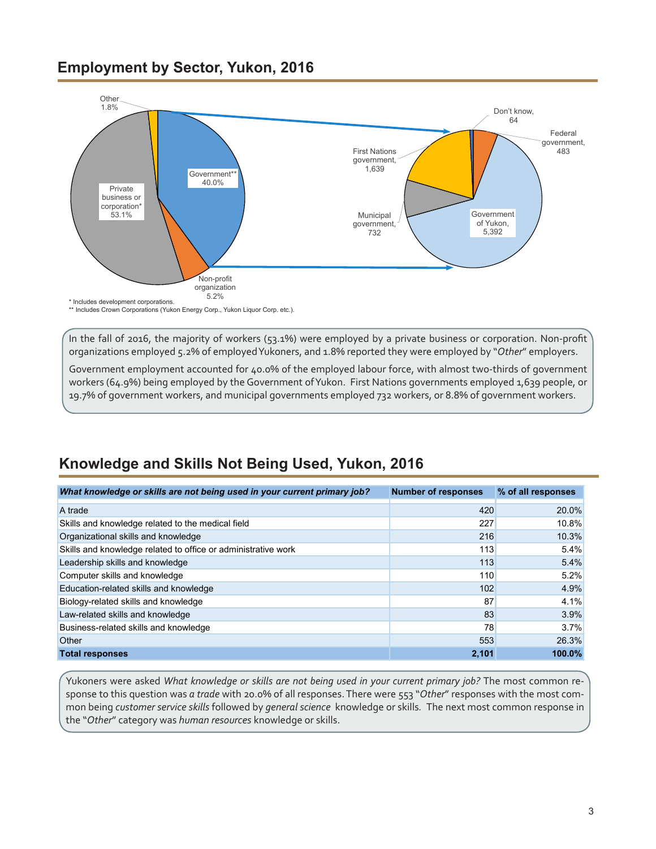#### <span id="page-2-0"></span>**Employment by Sector, Yukon, 2016**



In the fall of 2016, the majority of workers (53.1%) were employed by a private business or corporation. Non-profit organizations employed 5.2% of employedYukoners, and 1.8% reported they were employed by "*Other*" employers.

Government employment accounted for 40.0% of the employed labour force, with almost two-thirds of government workers (64.9%) being employed by the Government of Yukon. First Nations governments employed 1,639 people, or 19.7% of government workers, and municipal governments employed 732 workers, or 8.8% of government workers.

# **Knowledge and Skills Not Being Used, Yukon, 2016**

| What knowledge or skills are not being used in your current primary job? | <b>Number of responses</b> | % of all responses |
|--------------------------------------------------------------------------|----------------------------|--------------------|
| A trade                                                                  | 420                        | 20.0%              |
| Skills and knowledge related to the medical field                        | 227                        | 10.8%              |
| Organizational skills and knowledge                                      | 216                        | 10.3%              |
| Skills and knowledge related to office or administrative work            | 113                        | 5.4%               |
| Leadership skills and knowledge                                          | 113                        | 5.4%               |
| Computer skills and knowledge                                            | 110                        | 5.2%               |
| Education-related skills and knowledge                                   | 102                        | 4.9%               |
| Biology-related skills and knowledge                                     | 87                         | 4.1%               |
| Law-related skills and knowledge                                         | 83                         | 3.9%               |
| Business-related skills and knowledge                                    | 78                         | 3.7%               |
| Other                                                                    | 553                        | 26.3%              |
| <b>Total responses</b>                                                   | 2.101                      | $100.0\%$          |

Yukoners were asked *What knowledge or skills are not being used in your current primary job?* The most common response to this question was *a trade* with 20.0% of all responses. There were 553 "*Other*" responses with the most common being *customer service skills* followed by *general science* knowledge or skills*.* The next most common response in the "*Other*" category was *human resources* knowledge or skills.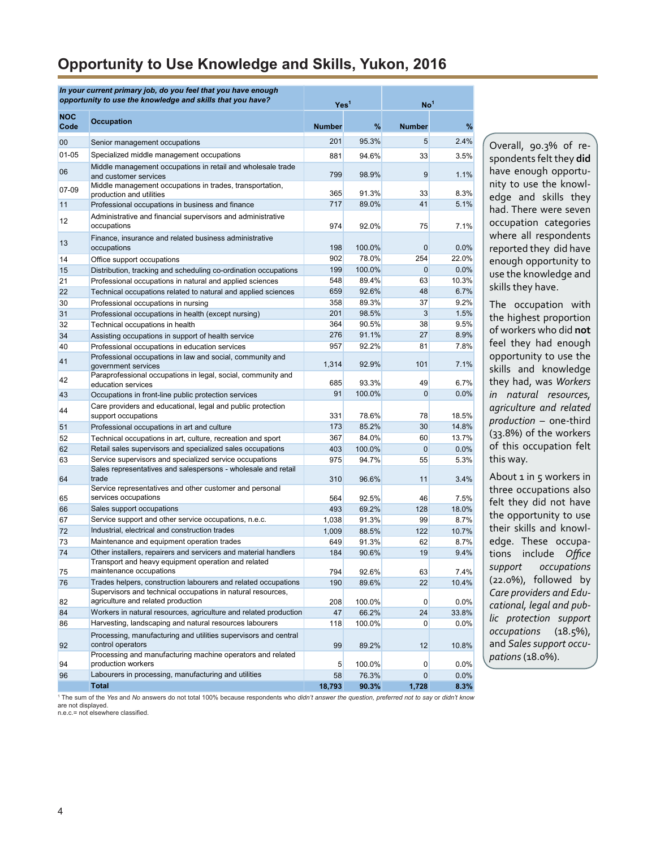#### **Opportunity to Use Knowledge and Skills, Yukon, 2016**

| In your current primary job, do you feel that you have enough<br>opportunity to use the knowledge and skills that you have? |                                                                                                                 | Yes <sup>1</sup> |                | No <sup>1</sup> |              |
|-----------------------------------------------------------------------------------------------------------------------------|-----------------------------------------------------------------------------------------------------------------|------------------|----------------|-----------------|--------------|
| NOC<br>Code                                                                                                                 | <b>Occupation</b>                                                                                               | Number           | %              | <b>Number</b>   | %            |
| 00                                                                                                                          | Senior management occupations                                                                                   | 201              | 95.3%          | 5               | 2.4%         |
| 01-05                                                                                                                       | Specialized middle management occupations                                                                       | 881              | 94.6%          | 33              | 3.5%         |
| 06                                                                                                                          | Middle management occupations in retail and wholesale trade<br>and customer services                            | 799              | 98.9%          | 9               | 1.1%         |
| 07-09                                                                                                                       | Middle management occupations in trades, transportation,                                                        |                  |                |                 |              |
| 11                                                                                                                          | production and utilities                                                                                        | 365<br>717       | 91.3%<br>89.0% | 33<br>41        | 8.3%<br>5.1% |
|                                                                                                                             | Professional occupations in business and finance<br>Administrative and financial supervisors and administrative |                  |                |                 |              |
| 12                                                                                                                          | occupations                                                                                                     | 974              | 92.0%          | 75              | 7.1%         |
| 13                                                                                                                          | Finance, insurance and related business administrative<br>occupations                                           | 198              | 100.0%         | $\mathbf 0$     | 0.0%         |
| 14                                                                                                                          | Office support occupations                                                                                      | 902              | 78.0%          | 254             | 22.0%        |
| 15                                                                                                                          | Distribution, tracking and scheduling co-ordination occupations                                                 | 199              | 100.0%         | $\mathbf{0}$    | 0.0%         |
| 21                                                                                                                          | Professional occupations in natural and applied sciences                                                        | 548              | 89.4%          | 63              | 10.3%        |
| 22                                                                                                                          | Technical occupations related to natural and applied sciences                                                   | 659              | 92.6%          | 48              | 6.7%         |
| 30                                                                                                                          | Professional occupations in nursing                                                                             | 358              | 89.3%          | 37              | 9.2%         |
| 31                                                                                                                          | Professional occupations in health (except nursing)                                                             | 201              | 98.5%          | 3               | 1.5%         |
| 32                                                                                                                          | Technical occupations in health                                                                                 | 364              | 90.5%          | 38              | 9.5%         |
| 34                                                                                                                          | Assisting occupations in support of health service                                                              | 276              | 91.1%          | 27              | 8.9%         |
| 40<br>41                                                                                                                    | Professional occupations in education services<br>Professional occupations in law and social, community and     | 957<br>1,314     | 92.2%<br>92.9% | 81<br>101       | 7.8%<br>7.1% |
| 42                                                                                                                          | government services<br>Paraprofessional occupations in legal, social, community and<br>education services       | 685              | 93.3%          | 49              | 6.7%         |
| 43                                                                                                                          | Occupations in front-line public protection services                                                            | 91               | 100.0%         | $\mathbf{0}$    | 0.0%         |
|                                                                                                                             | Care providers and educational, legal and public protection                                                     |                  |                |                 |              |
| 44                                                                                                                          | support occupations                                                                                             | 331              | 78.6%          | 78              | 18.5%        |
| 51                                                                                                                          | Professional occupations in art and culture                                                                     | 173              | 85.2%          | 30              | 14.8%        |
| 52                                                                                                                          | Technical occupations in art, culture, recreation and sport                                                     | 367              | 84.0%          | 60              | 13.7%        |
| 62                                                                                                                          | Retail sales supervisors and specialized sales occupations                                                      | 403              | 100.0%         | $\mathbf{0}$    | 0.0%         |
| 63                                                                                                                          | Service supervisors and specialized service occupations                                                         | 975              | 94.7%          | 55              | 5.3%         |
| 64                                                                                                                          | Sales representatives and salespersons - wholesale and retail<br>trade                                          | 310              | 96.6%          | 11              | 3.4%         |
|                                                                                                                             | Service representatives and other customer and personal                                                         |                  |                |                 |              |
| 65                                                                                                                          | services occupations                                                                                            | 564              | 92.5%          | 46              | 7.5%         |
| 66                                                                                                                          | Sales support occupations                                                                                       | 493              | 69.2%          | 128             | 18.0%        |
| 67                                                                                                                          | Service support and other service occupations, n.e.c.                                                           | 1,038            | 91.3%          | 99              | 8.7%         |
| 72                                                                                                                          | Industrial, electrical and construction trades<br>Maintenance and equipment operation trades                    | 1,009            | 88.5%<br>91.3% | 122             | 10.7%        |
| 73<br>74                                                                                                                    | Other installers, repairers and servicers and material handlers                                                 | 649<br>184       | 90.6%          | 62<br>19        | 8.7%         |
|                                                                                                                             | Transport and heavy equipment operation and related                                                             |                  |                |                 | 9.4%         |
| 75                                                                                                                          | maintenance occupations                                                                                         | 794              | 92.6%          | 63              | 7.4%         |
| 76                                                                                                                          | Trades helpers, construction labourers and related occupations                                                  | 190              | 89.6%          | 22              | 10.4%        |
|                                                                                                                             | Supervisors and technical occupations in natural resources,                                                     |                  |                |                 |              |
| 82                                                                                                                          | agriculture and related production                                                                              | 208              | 100.0%         | 0               | 0.0%         |
| 84                                                                                                                          | Workers in natural resources, agriculture and related production                                                | 47               | 66.2%          | 24              | 33.8%        |
| 86                                                                                                                          | Harvesting, landscaping and natural resources labourers                                                         | 118              | 100.0%         | 0               | 0.0%         |
| 92                                                                                                                          | Processing, manufacturing and utilities supervisors and central<br>control operators                            | 99               | 89.2%          | 12              | 10.8%        |
| 94                                                                                                                          | Processing and manufacturing machine operators and related<br>production workers                                | 5                | 100.0%         | 0               | 0.0%         |
| 96                                                                                                                          | Labourers in processing, manufacturing and utilities                                                            | 58               | 76.3%          | 0               | 0.0%         |
|                                                                                                                             | <b>Total</b>                                                                                                    | 18,793           | 90.3%          | 1,728           | 8.3%         |

Overall, 90.3% of respondents felt they **did** have enough opportunity to use the knowledge and skills they had. There were seven occupation categories where all respondents reported they did have enough opportunity to use the knowledge and skills they have.

The occupation with the highest proportion of workers who did **not** feel they had enough opportunity to use the skills and knowledge they had, was *Workers in natural resources, agriculture and related production* – one-third (33.8%) of the workers of this occupation felt this way.

About 1 in 5 workers in three occupations also felt they did not have the opportunity to use their skills and knowledge. These occupations include *Office support occupations*  (22.0%), followed by *Care providers and Educational, legal and public protection support occupations* (18.5%), and *Sales support occupations* (18.0%).

1 The sum of the *Yes* and *No* answers do not total 100% because respondents who *didn't answer the question, preferred not to say* or *didn't know* are not displayed.

n.e.c.= not elsewhere classified.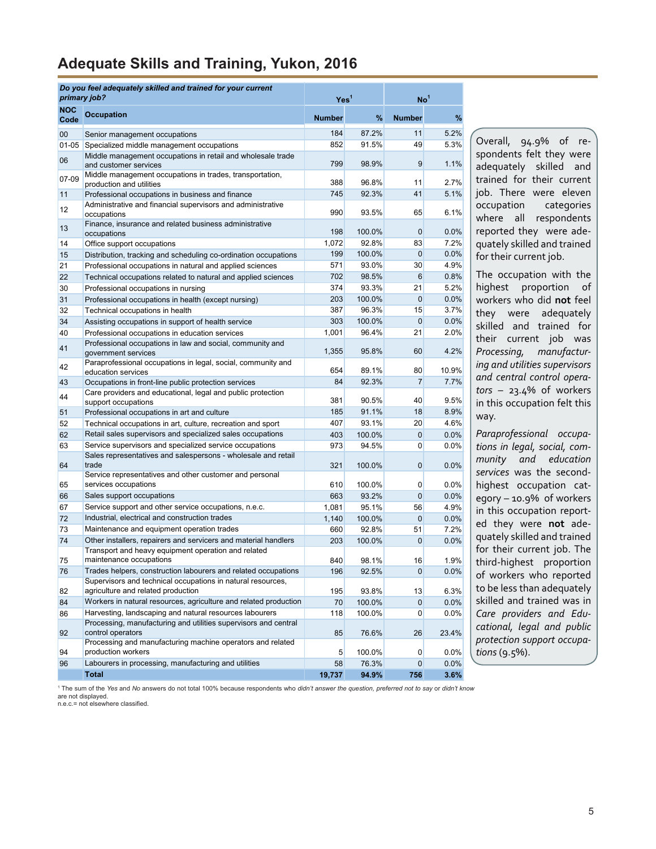# <span id="page-4-0"></span>**Adequate Skills and Training, Yukon, 2016**

|            | Do you feel adequately skilled and trained for your current<br>primary job?                                                | Yes <sup>1</sup> |                | No <sup>1</sup>      |              |
|------------|----------------------------------------------------------------------------------------------------------------------------|------------------|----------------|----------------------|--------------|
| <b>NOC</b> | <b>Occupation</b>                                                                                                          |                  |                |                      |              |
| Code       |                                                                                                                            | <b>Number</b>    | %              | <b>Number</b>        | %            |
| 00         | Senior management occupations                                                                                              | 184              | 87.2%          | 11                   | 5.2%         |
| $01 - 05$  | Specialized middle management occupations                                                                                  | 852              | 91.5%          | 49                   | 5.3%         |
| 06         | Middle management occupations in retail and wholesale trade                                                                | 799              | 98.9%          | 9                    | 1.1%         |
|            | and customer services<br>Middle management occupations in trades, transportation,                                          |                  |                |                      |              |
| 07-09      | production and utilities                                                                                                   | 388              | 96.8%          | 11                   | 2.7%         |
| 11         | Professional occupations in business and finance                                                                           | 745              | 92.3%          | 41                   | 5.1%         |
| 12         | Administrative and financial supervisors and administrative                                                                |                  |                |                      |              |
|            | occupations                                                                                                                | 990              | 93.5%          | 65                   | 6.1%         |
| 13         | Finance, insurance and related business administrative<br>occupations                                                      | 198              | 100.0%         | $\overline{0}$       | 0.0%         |
| 14         | Office support occupations                                                                                                 | 1,072            | 92.8%          | 83                   | 7.2%         |
| 15         | Distribution, tracking and scheduling co-ordination occupations                                                            | 199              | 100.0%         | $\overline{0}$       | 0.0%         |
| 21         | Professional occupations in natural and applied sciences                                                                   | 571              | 93.0%          | 30 <sub>2</sub>      | 4.9%         |
| 22         | Technical occupations related to natural and applied sciences                                                              | 702              | 98.5%          | 6                    | 0.8%         |
| 30         | Professional occupations in nursing                                                                                        | 374              | 93.3%          | 21                   | 5.2%         |
| 31         | Professional occupations in health (except nursing)                                                                        | 203              | 100.0%         | $\overline{0}$       | 0.0%         |
| 32         | Technical occupations in health                                                                                            | 387              | 96.3%          | 15                   | 3.7%         |
| 34         | Assisting occupations in support of health service                                                                         | 303              | 100.0%         | $\overline{0}$       | 0.0%         |
| 40         | Professional occupations in education services                                                                             | 1,001            | 96.4%          | 21                   | 2.0%         |
| 41         | Professional occupations in law and social, community and<br>government services                                           | 1,355            | 95.8%          | 60                   | 4.2%         |
| 42         | Paraprofessional occupations in legal, social, community and<br>education services                                         | 654              | 89.1%          | 80                   | 10.9%        |
| 43         | Occupations in front-line public protection services                                                                       | 84               | 92.3%          | $\overline{7}$       | 7.7%         |
| 44         | Care providers and educational, legal and public protection<br>support occupations                                         | 381              | 90.5%          | 40                   | 9.5%         |
| 51         | Professional occupations in art and culture                                                                                | 185              | 91.1%          | 18                   | 8.9%         |
| 52         | Technical occupations in art, culture, recreation and sport                                                                | 407              | 93.1%          | 20                   | 4.6%         |
| 62         | Retail sales supervisors and specialized sales occupations                                                                 | 403              | 100.0%         | $\overline{0}$       | 0.0%         |
| 63         | Service supervisors and specialized service occupations                                                                    | 973              | 94.5%          | $\mathbf{0}$         | 0.0%         |
| 64         | Sales representatives and salespersons - wholesale and retail<br>trade                                                     | 321              | 100.0%         | $\overline{0}$       | 0.0%         |
|            | Service representatives and other customer and personal                                                                    |                  |                |                      |              |
| 65         | services occupations                                                                                                       | 610              | 100.0%         | $\overline{0}$       | 0.0%         |
| 66         | Sales support occupations<br>Service support and other service occupations, n.e.c.                                         | 663              | 93.2%<br>95.1% | $\overline{0}$       | 0.0%<br>4.9% |
| 67<br>72   | Industrial, electrical and construction trades                                                                             | 1,081<br>1,140   | 100.0%         | 56<br>$\overline{0}$ | 0.0%         |
| 73         | Maintenance and equipment operation trades                                                                                 | 660              | 92.8%          | 51                   | 7.2%         |
| 74         | Other installers, repairers and servicers and material handlers                                                            | 203              | 100.0%         | $\overline{0}$       | 0.0%         |
|            | Transport and heavy equipment operation and related                                                                        |                  |                |                      |              |
| 75         | maintenance occupations                                                                                                    | 840              | 98.1%          | 16                   | 1.9%         |
| 76         | Trades helpers, construction labourers and related occupations                                                             | 196              | 92.5%          | $\mathbf{0}$         | 0.0%         |
|            | Supervisors and technical occupations in natural resources,                                                                |                  |                |                      |              |
| 82         | agriculture and related production                                                                                         | 195              | 93.8%          | 13                   | 6.3%         |
| 84         | Workers in natural resources, agriculture and related production                                                           | 70               | 100.0%         | $\mathbf{0}$         | 0.0%         |
| 86         | Harvesting, landscaping and natural resources labourers<br>Processing, manufacturing and utilities supervisors and central | 118              | 100.0%         | $\mathbf{0}$         | $0.0\%$      |
| 92         | control operators                                                                                                          | 85               | 76.6%          | 26                   | 23.4%        |
| 94         | Processing and manufacturing machine operators and related<br>production workers                                           | 5                | 100.0%         | $\overline{0}$       | $0.0\%$      |
| 96         | Labourers in processing, manufacturing and utilities                                                                       | 58               | 76.3%          | $\overline{0}$       | 0.0%         |
|            | <b>Total</b>                                                                                                               | 19,737           | 94.9%          | 756                  | 3.6%         |

Overall, 94.9% of respondents felt they were adequately skilled and trained for their current job. There were eleven occupation categories where all respondents reported they were adequately skilled and trained for their current job.

The occupation with the highest proportion of workers who did **not** feel they were adequately skilled and trained for their current job was *Processing, manufacturing and utilities supervisors and central control operators* – 23.4% of workers in this occupation felt this way.

*Paraprofessional occupations in legal, social, community and education services* was the secondhighest occupation category – 10.9% of workers in this occupation reported they were **not** adequately skilled and trained for their current job. The third-highest proportion of workers who reported to be less than adequately skilled and trained was in *Care providers and Educational, legal and public protection support occupations* (9.5%).

1 The sum of the *Yes* and *No* answers do not total 100% because respondents who *didn't answer the question, preferred not to say* or *didn't know* are not displayed.

n.e.c.= not elsewhere classified.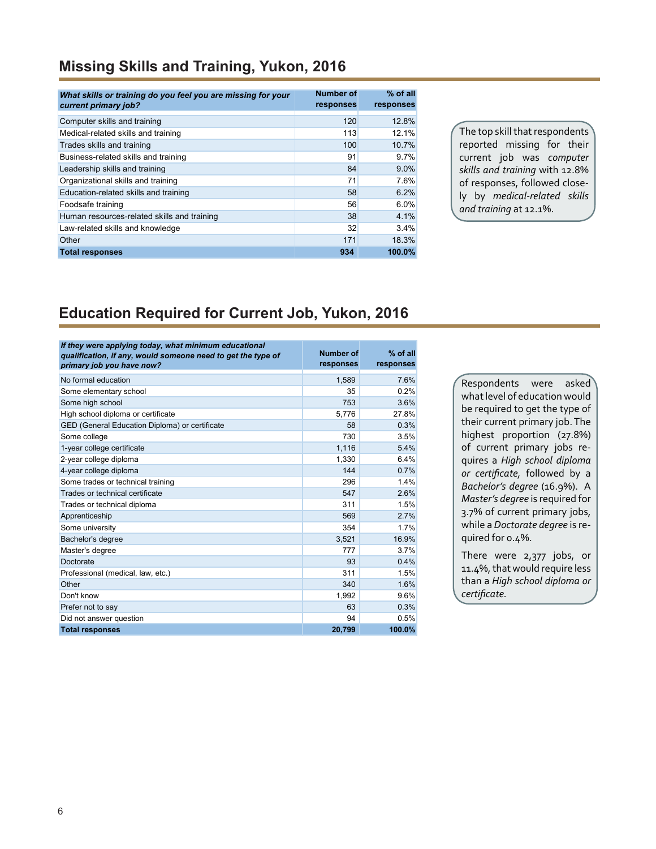# **Missing Skills and Training, Yukon, 2016**

| What skills or training do you feel you are missing for your<br>current primary job? | Number of<br>responses | $%$ of all<br>responses |
|--------------------------------------------------------------------------------------|------------------------|-------------------------|
| Computer skills and training                                                         | 120                    | 12.8%                   |
| Medical-related skills and training                                                  | 113                    | 12.1%                   |
| Trades skills and training                                                           | 100                    | 10.7%                   |
| Business-related skills and training                                                 | 91                     | 9.7%                    |
| Leadership skills and training                                                       | 84                     | $9.0\%$                 |
| Organizational skills and training                                                   | 71                     | 7.6%                    |
| Education-related skills and training                                                | 58                     | 6.2%                    |
| Foodsafe training                                                                    | 56                     | 6.0%                    |
| Human resources-related skills and training                                          | 38                     | 4.1%                    |
| Law-related skills and knowledge                                                     | 32                     | 3.4%                    |
| Other                                                                                | 171                    | 18.3%                   |
| <b>Total responses</b>                                                               | 934                    | 100.0%                  |

The top skill that respondents reported missing for their current job was *computer skills and training* with 12.8% of responses, followed closely by *medical-related skills and training* at 12.1%.

#### **Education Required for Current Job, Yukon, 2016**

| If they were applying today, what minimum educational<br>qualification, if any, would someone need to get the type of<br>primary job you have now? | Number of<br>responses | % of all<br>responses |
|----------------------------------------------------------------------------------------------------------------------------------------------------|------------------------|-----------------------|
| No formal education                                                                                                                                | 1,589                  | 7.6%                  |
| Some elementary school                                                                                                                             | 35                     | 0.2%                  |
| Some high school                                                                                                                                   | 753                    | 3.6%                  |
| High school diploma or certificate                                                                                                                 | 5,776                  | 27.8%                 |
| GED (General Education Diploma) or certificate                                                                                                     | 58                     | 0.3%                  |
| Some college                                                                                                                                       | 730                    | 3.5%                  |
| 1-year college certificate                                                                                                                         | 1,116                  | 5.4%                  |
| 2-year college diploma                                                                                                                             | 1,330                  | 6.4%                  |
| 4-year college diploma                                                                                                                             | 144                    | 0.7%                  |
| Some trades or technical training                                                                                                                  | 296                    | 1.4%                  |
| Trades or technical certificate                                                                                                                    | 547                    | 2.6%                  |
| Trades or technical diploma                                                                                                                        | 311                    | 1.5%                  |
| Apprenticeship                                                                                                                                     | 569                    | 2.7%                  |
| Some university                                                                                                                                    | 354                    | 1.7%                  |
| Bachelor's degree                                                                                                                                  | 3,521                  | 16.9%                 |
| Master's degree                                                                                                                                    | 777                    | 3.7%                  |
| Doctorate                                                                                                                                          | 93                     | 0.4%                  |
| Professional (medical, law, etc.)                                                                                                                  | 311                    | 1.5%                  |
| Other                                                                                                                                              | 340                    | 1.6%                  |
| Don't know                                                                                                                                         | 1.992                  | 9.6%                  |
| Prefer not to say                                                                                                                                  | 63                     | 0.3%                  |
| Did not answer question                                                                                                                            | 94                     | 0.5%                  |
| <b>Total responses</b>                                                                                                                             | 20.799                 | 100.0%                |

Respondents were asked what level of education would be required to get the type of their current primary job. The highest proportion (27.8%) of current primary jobs requires a *High school diploma or certificate,* followed by a *Bachelor's degree* (16.9%). A *Master's degree* is required for 3.7% of current primary jobs, while a *Doctorate degree* is required for 0.4%.

There were 2,377 jobs, or 11.4%, that would require less than a *High school diploma or certificate.*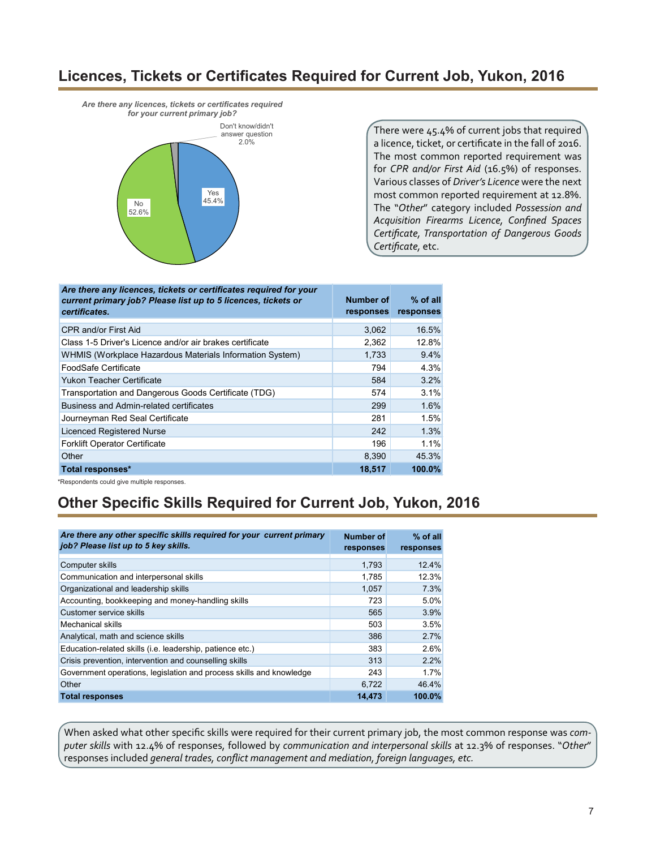#### **Licences, Tickets or Certificates Required for Current Job, Yukon, 2016**

*Are there any licences, tickets or certificates required for your current primary job?* 



There were 45.4% of current jobs that required a licence, ticket, or certificate in the fall of 2016. The most common reported requirement was for *CPR and/or First Aid* (16.5%) of responses. Various classes of *Driver's Licence* were the next most common reported requirement at 12.8%. The "*Other*" category included *Possession and Acquisition Firearms Licence, Confined Spaces Certificate, Transportation of Dangerous Goods Certificate,* etc.

| Are there any licences, tickets or certificates required for your<br>current primary job? Please list up to 5 licences, tickets or<br>certificates. | Number of<br><b>responses</b> | $%$ of all<br>responses |
|-----------------------------------------------------------------------------------------------------------------------------------------------------|-------------------------------|-------------------------|
| CPR and/or First Aid                                                                                                                                | 3,062                         | 16.5%                   |
| Class 1-5 Driver's Licence and/or air brakes certificate                                                                                            | 2,362                         | 12.8%                   |
| WHMIS (Workplace Hazardous Materials Information System)                                                                                            | 1,733                         | 9.4%                    |
| FoodSafe Certificate                                                                                                                                | 794                           | 4.3%                    |
| Yukon Teacher Certificate                                                                                                                           | 584                           | 3.2%                    |
| Transportation and Dangerous Goods Certificate (TDG)                                                                                                | 574                           | 3.1%                    |
| Business and Admin-related certificates                                                                                                             | 299                           | 1.6%                    |
| Journeyman Red Seal Certificate                                                                                                                     | 281                           | 1.5%                    |
| <b>Licenced Registered Nurse</b>                                                                                                                    | 242                           | 1.3%                    |
| <b>Forklift Operator Certificate</b>                                                                                                                | 196                           | 1.1%                    |
| Other                                                                                                                                               | 8.390                         | 45.3%                   |
| Total responses*                                                                                                                                    | 18,517                        | 100.0%                  |

\*Respondents could give multiple responses.

# **Other Specific Skills Required for Current Job, Yukon, 2016**

| Are there any other specific skills required for your current primary<br>job? Please list up to 5 key skills. | Number of<br>responses | $%$ of all<br>responses |
|---------------------------------------------------------------------------------------------------------------|------------------------|-------------------------|
| Computer skills                                                                                               | 1,793                  | 12.4%                   |
| Communication and interpersonal skills                                                                        | 1,785                  | 12.3%                   |
| Organizational and leadership skills                                                                          | 1,057                  | 7.3%                    |
| Accounting, bookkeeping and money-handling skills                                                             | 723                    | 5.0%                    |
| Customer service skills                                                                                       | 565                    | 3.9%                    |
| Mechanical skills                                                                                             | 503                    | 3.5%                    |
| Analytical, math and science skills                                                                           | 386                    | 2.7%                    |
| Education-related skills (i.e. leadership, patience etc.)                                                     | 383                    | 2.6%                    |
| Crisis prevention, intervention and counselling skills                                                        | 313                    | 2.2%                    |
| Government operations, legislation and process skills and knowledge                                           | 243                    | 1.7%                    |
| Other                                                                                                         | 6.722                  | 46.4%                   |
| <b>Total responses</b>                                                                                        | 14,473                 | 100.0%                  |

When asked what other specific skills were required for their current primary job, the most common response was *computer skills* with 12.4% of responses, followed by *communication and interpersonal skills* at 12.3% of responses. "*Other*" responses included *general trades, conflict management and mediation, foreign languages, etc.*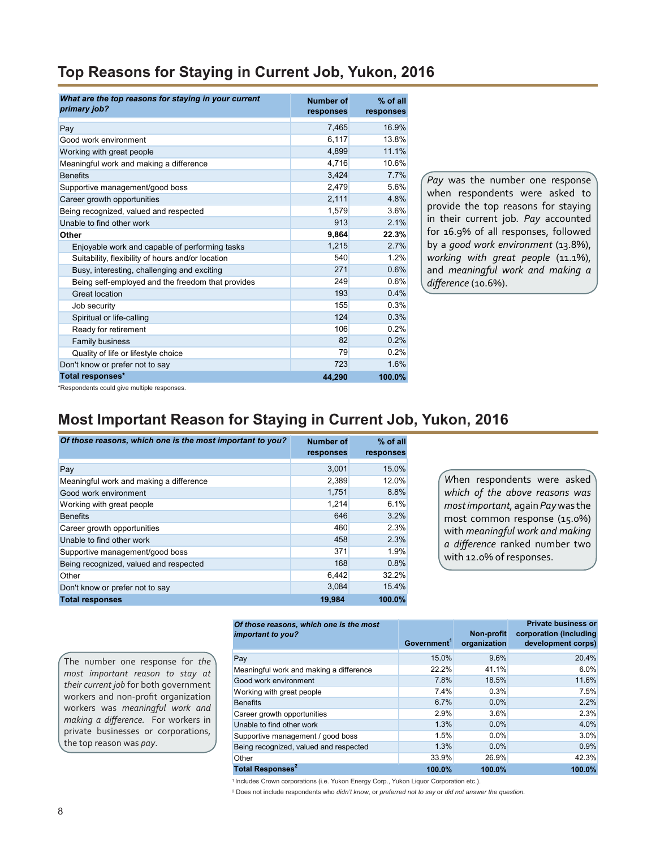| Top Reasons for Staying in Current Job, Yukon, 2016 |  |  |  |  |
|-----------------------------------------------------|--|--|--|--|
|                                                     |  |  |  |  |

| What are the top reasons for staying in your current<br>primary job? | <b>Number of</b><br>responses | % of all<br>responses |
|----------------------------------------------------------------------|-------------------------------|-----------------------|
| Pay                                                                  | 7,465                         | 16.9%                 |
| Good work environment                                                | 6,117                         | 13.8%                 |
| Working with great people                                            | 4,899                         | 11.1%                 |
| Meaningful work and making a difference                              | 4,716                         | 10.6%                 |
| <b>Benefits</b>                                                      | 3,424                         | 7.7%                  |
| Supportive management/good boss                                      | 2,479                         | 5.6%                  |
| Career growth opportunities                                          | 2,111                         | 4.8%                  |
| Being recognized, valued and respected                               | 1,579                         | 3.6%                  |
| Unable to find other work                                            | 913                           | 2.1%                  |
| Other                                                                | 9,864                         | 22.3%                 |
| Enjoyable work and capable of performing tasks                       | 1,215                         | 2.7%                  |
| Suitability, flexibility of hours and/or location                    | 540                           | 1.2%                  |
| Busy, interesting, challenging and exciting                          | 271                           | 0.6%                  |
| Being self-employed and the freedom that provides                    | 249                           | 0.6%                  |
| Great location                                                       | 193                           | 0.4%                  |
| Job security                                                         | 155                           | 0.3%                  |
| Spiritual or life-calling                                            | 124                           | 0.3%                  |
| Ready for retirement                                                 | 106                           | 0.2%                  |
| Family business                                                      | 82                            | 0.2%                  |
| Quality of life or lifestyle choice                                  | 79                            | 0.2%                  |
| Don't know or prefer not to say                                      | 723                           | 1.6%                  |
| Total responses*                                                     | 44,290                        | 100.0%                |

*Pay* was the number one response when respondents were asked to provide the top reasons for staying in their current job*. Pay* accounted for 16.9% of all responses, followed by a *good work environment* (13.8%), *working with great people* (11.1%), and *meaningful work and making a difference* (10.6%).

\*Respondents could give multiple responses.

## **Most Important Reason for Staying in Current Job, Yukon, 2016**

| Of those reasons, which one is the most important to you? | <b>Number of</b><br>responses | $%$ of all<br>responses |
|-----------------------------------------------------------|-------------------------------|-------------------------|
| Pay                                                       | 3,001                         | 15.0%                   |
| Meaningful work and making a difference                   | 2,389                         | 12.0%                   |
| Good work environment                                     | 1.751                         | 8.8%                    |
| Working with great people                                 | 1,214                         | 6.1%                    |
| <b>Benefits</b>                                           | 646                           | 3.2%                    |
| Career growth opportunities                               | 460                           | 2.3%                    |
| Unable to find other work                                 | 458                           | 2.3%                    |
| Supportive management/good boss                           | 371                           | 1.9%                    |
| Being recognized, valued and respected                    | 168                           | 0.8%                    |
| Other                                                     | 6,442                         | 32.2%                   |
| Don't know or prefer not to say                           | 3,084                         | 15.4%                   |
| <b>Total responses</b>                                    | 19.984                        | 100.0%                  |

*W*hen respondents were asked *which of the above reasons was most important,* again *Pay* was the most common response (15.0%) with *meaningful work and making a difference* ranked number two with 12.0% of responses.

The number one response for *the most important reason to stay at their current job* for both government workers and non-profit organization workers was *meaningful work and making a difference.* For workers in private businesses or corporations, the top reason was *pay*.

| Of those reasons, which one is the most<br>important to you? | Government <sup>1</sup> | Non-profit<br>organization | <b>Private business or</b><br>corporation (including<br>development corps) |
|--------------------------------------------------------------|-------------------------|----------------------------|----------------------------------------------------------------------------|
| Pay                                                          | 15.0%                   | 9.6%                       | 20.4%                                                                      |
| Meaningful work and making a difference                      | 22.2%                   | 41.1%                      | 6.0%                                                                       |
| Good work environment                                        | 7.8%                    | 18.5%                      | 11.6%                                                                      |
| Working with great people                                    | 7.4%                    | 0.3%                       | 7.5%                                                                       |
| <b>Benefits</b>                                              | 6.7%                    | 0.0%                       | 2.2%                                                                       |
| Career growth opportunities                                  | 2.9%                    | 3.6%                       | 2.3%                                                                       |
| Unable to find other work                                    | 1.3%                    | 0.0%                       | 4.0%                                                                       |
| Supportive management / good boss                            | 1.5%                    | 0.0%                       | 3.0%                                                                       |
| Being recognized, valued and respected                       | 1.3%                    | 0.0%                       | 0.9%                                                                       |
| Other                                                        | 33.9%                   | 26.9%                      | 42.3%                                                                      |
| Total Responses <sup>2</sup>                                 | 100.0%                  | 100.0%                     | 100.0%                                                                     |

<sup>1</sup> Includes Crown corporations (i.e. Yukon Energy Corp., Yukon Liquor Corporation etc.).

2 Does not include respondents who *didn't know*, or *preferred not to say* or *did not answer the question*.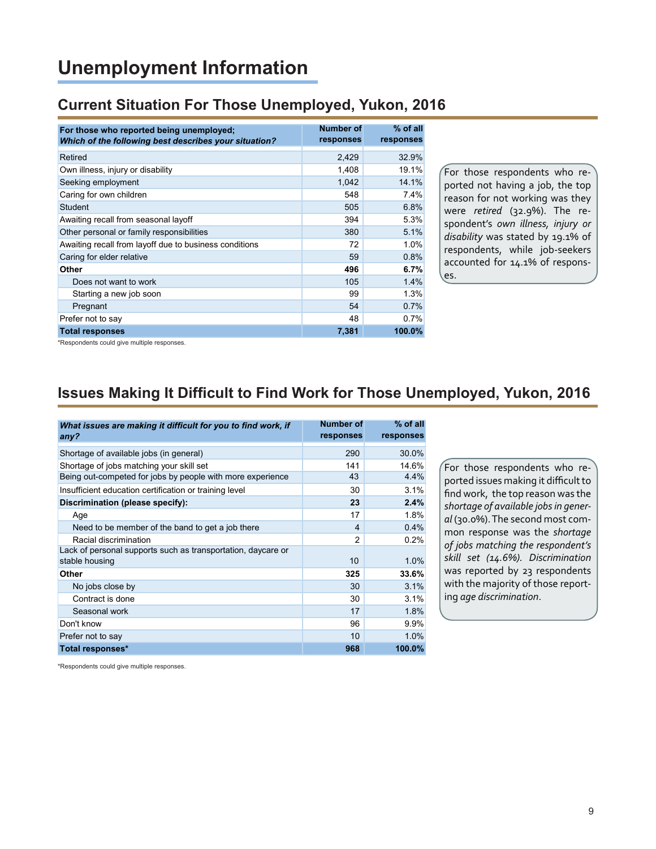# **Unemployment Information**

#### **Current Situation For Those Unemployed, Yukon, 2016**

| For those who reported being unemployed;<br>Which of the following best describes your situation? | <b>Number of</b><br>responses | % of all<br>responses |
|---------------------------------------------------------------------------------------------------|-------------------------------|-----------------------|
| Retired                                                                                           | 2,429                         | 32.9%                 |
| Own illness, injury or disability                                                                 | 1,408                         | 19.1%                 |
| Seeking employment                                                                                | 1,042                         | 14.1%                 |
| Caring for own children                                                                           | 548                           | 7.4%                  |
| Student                                                                                           | 505                           | 6.8%                  |
| Awaiting recall from seasonal layoff                                                              | 394                           | 5.3%                  |
| Other personal or family responsibilities                                                         | 380                           | 5.1%                  |
| Awaiting recall from layoff due to business conditions                                            | 72                            | 1.0%                  |
| Caring for elder relative                                                                         | 59                            | 0.8%                  |
| Other                                                                                             | 496                           | 6.7%                  |
| Does not want to work                                                                             | 105                           | 1.4%                  |
| Starting a new job soon                                                                           | 99                            | 1.3%                  |
| Pregnant                                                                                          | 54                            | 0.7%                  |
| Prefer not to say                                                                                 | 48                            | 0.7%                  |
| <b>Total responses</b>                                                                            | 7,381                         | 100.0%                |

For those respondents who reported not having a job, the top reason for not working was they were *retired* (32.9%). The respondent's *own illness, injury or disability* was stated by 19.1% of respondents, while job-seekers accounted for 14.1% of responses.

\*Respondents could give multiple responses.

# **Issues Making It Difficult to Find Work for Those Unemployed, Yukon, 2016**

| What issues are making it difficult for you to find work, if<br>any? | Number of<br>responses | $%$ of all<br>responses |
|----------------------------------------------------------------------|------------------------|-------------------------|
| Shortage of available jobs (in general)                              | 290                    | 30.0%                   |
| Shortage of jobs matching your skill set                             | 141                    | 14.6%                   |
| Being out-competed for jobs by people with more experience           | 43                     | 4.4%                    |
| Insufficient education certification or training level               | 30                     | 3.1%                    |
| Discrimination (please specify):                                     | 23                     | 2.4%                    |
| Age                                                                  | 17                     | 1.8%                    |
| Need to be member of the band to get a job there                     | 4                      | 0.4%                    |
| Racial discrimination                                                | $\mathfrak{p}$         | 0.2%                    |
| Lack of personal supports such as transportation, daycare or         |                        |                         |
| stable housing                                                       | 10                     | 1.0%                    |
| Other                                                                | 325                    | 33.6%                   |
| No jobs close by                                                     | 30                     | 3.1%                    |
| Contract is done                                                     | 30                     | 3.1%                    |
| Seasonal work                                                        | 17                     | 1.8%                    |
| Don't know                                                           | 96                     | 9.9%                    |
| Prefer not to say                                                    | 10                     | 1.0%                    |
| Total responses*                                                     | 968                    | 100.0%                  |

For those respondents who reported issues making it difficult to find work, the top reason was the *shortage of available jobs in general* (30.0%). The second most common response was the *shortage of jobs matching the respondent's skill set (14.6%). Discrimination* was reported by 23 respondents with the majority of those reporting *age discrimination*.

\*Respondents could give multiple responses.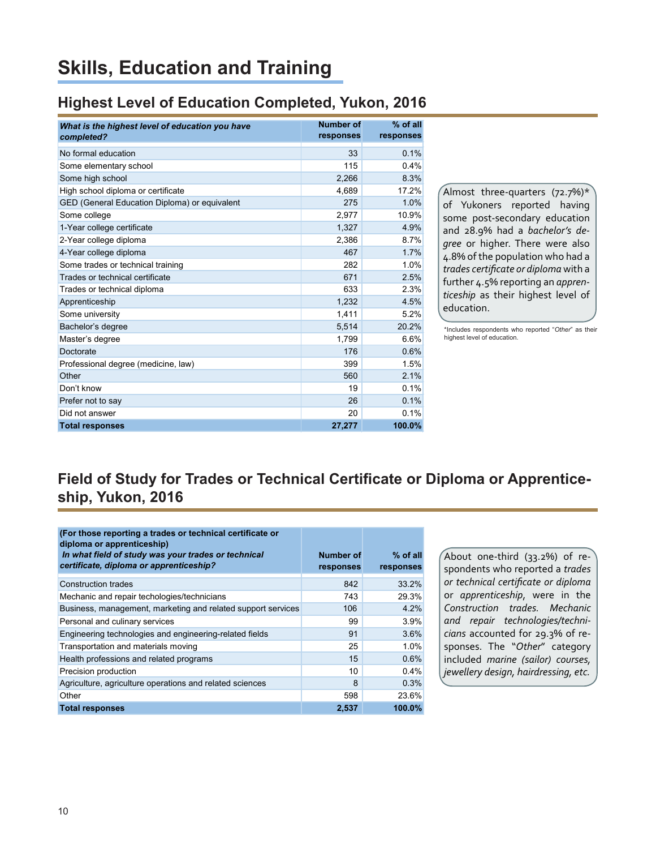# **Skills, Education and Training**

### **Highest Level of Education Completed, Yukon, 2016**

| What is the highest level of education you have<br>completed? | <b>Number of</b><br>responses | $%$ of all<br>responses |
|---------------------------------------------------------------|-------------------------------|-------------------------|
| No formal education                                           | 33                            | 0.1%                    |
| Some elementary school                                        | 115                           | 0.4%                    |
| Some high school                                              | 2.266                         | 8.3%                    |
| High school diploma or certificate                            | 4.689                         | 17.2%                   |
| GED (General Education Diploma) or equivalent                 | 275                           | 1.0%                    |
| Some college                                                  | 2,977                         | 10.9%                   |
| 1-Year college certificate                                    | 1,327                         | 4.9%                    |
| 2-Year college diploma                                        | 2,386                         | 8.7%                    |
| 4-Year college diploma                                        | 467                           | 1.7%                    |
| Some trades or technical training                             | 282                           | 1.0%                    |
| Trades or technical certificate                               | 671                           | 2.5%                    |
| Trades or technical diploma                                   | 633                           | 2.3%                    |
| Apprenticeship                                                | 1,232                         | 4.5%                    |
| Some university                                               | 1,411                         | 5.2%                    |
| Bachelor's degree                                             | 5,514                         | 20.2%                   |
| Master's degree                                               | 1.799                         | 6.6%                    |
| Doctorate                                                     | 176                           | 0.6%                    |
| Professional degree (medicine, law)                           | 399                           | 1.5%                    |
| Other                                                         | 560                           | 2.1%                    |
| Don't know                                                    | 19                            | 0.1%                    |
| Prefer not to say                                             | 26                            | 0.1%                    |
| Did not answer                                                | 20                            | 0.1%                    |
| <b>Total responses</b>                                        | 27.277                        | 100.0%                  |

Almost three-quarters  $(72.7%)*$ of Yukoners reported having some post-secondary education and 28.9% had a *bachelor's degree* or higher. There were also 4.8% of the population who had a *trades certificate or diploma* with a further 4.5% reporting an *apprenticeship* as their highest level of education.

\*Includes respondents who reported "*Other*" as their highest level of education.

# **Field of Study for Trades or Technical Certificate or Diploma or Apprenticeship, Yukon, 2016**

| (For those reporting a trades or technical certificate or<br>diploma or apprenticeship)<br>In what field of study was your trades or technical<br>certificate, diploma or apprenticeship? | Number of<br>responses | $%$ of all<br>responses |
|-------------------------------------------------------------------------------------------------------------------------------------------------------------------------------------------|------------------------|-------------------------|
| <b>Construction trades</b>                                                                                                                                                                | 842                    | 33.2%                   |
| Mechanic and repair techologies/technicians                                                                                                                                               | 743                    | 29.3%                   |
| Business, management, marketing and related support services                                                                                                                              | 106                    | 4.2%                    |
| Personal and culinary services                                                                                                                                                            | 99                     | 3.9%                    |
| Engineering technologies and engineering-related fields                                                                                                                                   | 91                     | 3.6%                    |
| Transportation and materials moving                                                                                                                                                       | 25                     | 1.0%                    |
| Health professions and related programs                                                                                                                                                   | 15                     | 0.6%                    |
| Precision production                                                                                                                                                                      | 10                     | 0.4%                    |
| Agriculture, agriculture operations and related sciences                                                                                                                                  | 8                      | 0.3%                    |
| Other                                                                                                                                                                                     | 598                    | 23.6%                   |
| <b>Total responses</b>                                                                                                                                                                    | 2,537                  | 100.0%                  |

About one-third (33.2%) of respondents who reported a *trades or technical certificate or diploma* or *apprenticeship*, were in the *Construction trades. Mechanic and repair technologies/technicians* accounted for 29.3% of responses. The "*Other*" category included *marine (sailor) courses, jewellery design, hairdressing, etc.*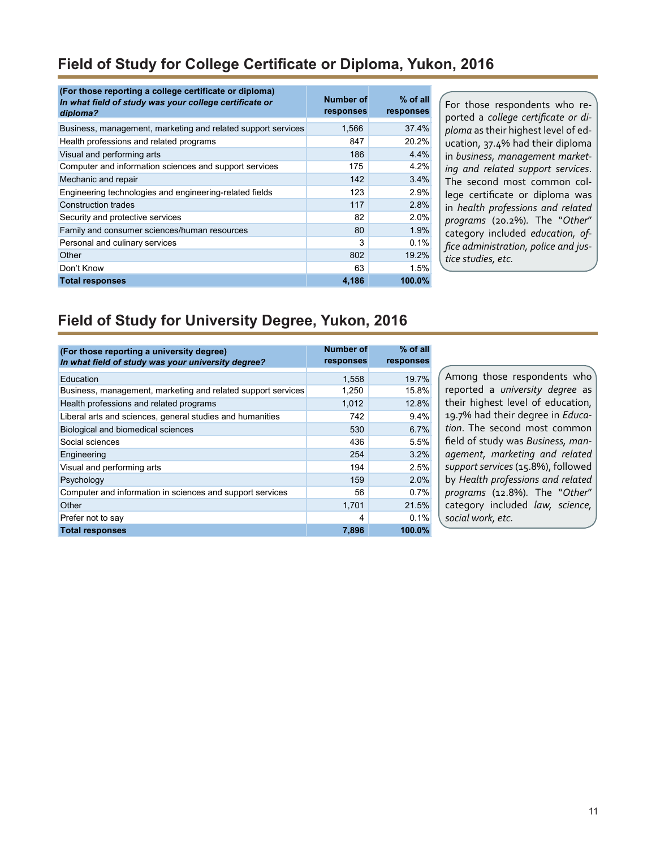### **Field of Study for College Certificate or Diploma, Yukon, 2016**

| (For those reporting a college certificate or diploma)<br>In what field of study was your college certificate or<br>diploma? | Number of<br>responses | $%$ of all<br>responses |
|------------------------------------------------------------------------------------------------------------------------------|------------------------|-------------------------|
| Business, management, marketing and related support services                                                                 | 1,566                  | 37.4%                   |
| Health professions and related programs                                                                                      | 847                    | 20.2%                   |
| Visual and performing arts                                                                                                   | 186                    | 4.4%                    |
| Computer and information sciences and support services                                                                       | 175                    | 4.2%                    |
| Mechanic and repair                                                                                                          | 142                    | 3.4%                    |
| Engineering technologies and engineering-related fields                                                                      | 123                    | 2.9%                    |
| Construction trades                                                                                                          | 117                    | 2.8%                    |
| Security and protective services                                                                                             | 82                     | 2.0%                    |
| Family and consumer sciences/human resources                                                                                 | 80                     | 1.9%                    |
| Personal and culinary services                                                                                               | 3                      | 0.1%                    |
| Other                                                                                                                        | 802                    | 19.2%                   |
| Don't Know                                                                                                                   | 63                     | 1.5%                    |
| <b>Total responses</b>                                                                                                       | 4.186                  | 100.0%                  |

For those respondents who reported a *college certificate or diploma* as their highest level of education, 37.4% had their diploma in *business, management marketing and related support services*. The second most common college certificate or diploma was in *health professions and related programs* (20.2%)*.* The "*Other*" category included *education, office administration, police and justice studies, etc.*

### **Field of Study for University Degree, Yukon, 2016**

| (For those reporting a university degree)<br>In what field of study was your university degree? | <b>Number of</b><br>responses | $%$ of all<br>responses |
|-------------------------------------------------------------------------------------------------|-------------------------------|-------------------------|
| Education                                                                                       | 1,558                         | 19.7%                   |
| Business, management, marketing and related support services                                    | 1,250                         | 15.8%                   |
| Health professions and related programs                                                         | 1,012                         | 12.8%                   |
| Liberal arts and sciences, general studies and humanities                                       | 742                           | 9.4%                    |
| Biological and biomedical sciences                                                              | 530                           | 6.7%                    |
| Social sciences                                                                                 | 436                           | 5.5%                    |
| Engineering                                                                                     | 254                           | 3.2%                    |
| Visual and performing arts                                                                      | 194                           | 2.5%                    |
| Psychology                                                                                      | 159                           | 2.0%                    |
| Computer and information in sciences and support services                                       | 56                            | 0.7%                    |
| Other                                                                                           | 1,701                         | 21.5%                   |
| Prefer not to say                                                                               | 4                             | 0.1%                    |
| <b>Total responses</b>                                                                          | 7,896                         | 100.0%                  |

Among those respondents who reported a *university degree* as their highest level of education, 19.7% had their degree in *Education*. The second most common field of study was *Business, management, marketing and related support services* (15.8%), followed by *Health professions and related programs* (12.8%)*.* The "*Other*" category included *law, science, social work, etc.*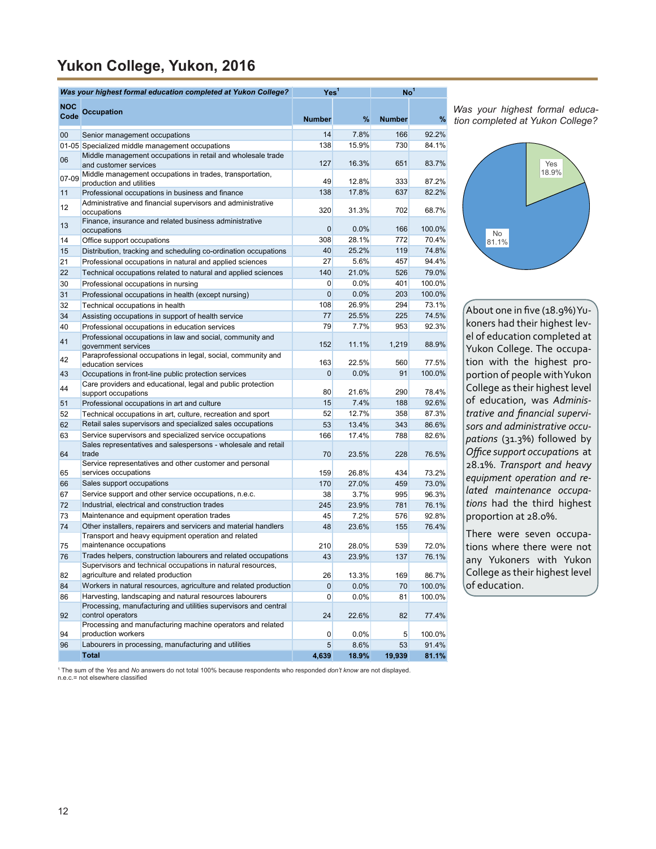# **Yukon College, Yukon, 2016**

|             | Was your highest formal education completed at Yukon College?<br>Yes <sup>1</sup>                                      |               |         | No <sup>1</sup> |        |
|-------------|------------------------------------------------------------------------------------------------------------------------|---------------|---------|-----------------|--------|
| NOC<br>Code | <b>Occupation</b>                                                                                                      | <b>Number</b> | %       | <b>Number</b>   | %      |
| 00          | Senior management occupations                                                                                          | 14            | 7.8%    | 166             | 92.2%  |
|             | 01-05 Specialized middle management occupations                                                                        | 138           | 15.9%   | 730             | 84.1%  |
| 06          | Middle management occupations in retail and wholesale trade<br>and customer services                                   | 127           | 16.3%   | 651             | 83.7%  |
| 07-09       | Middle management occupations in trades, transportation,<br>production and utilities                                   | 49            | 12.8%   | 333             | 87.2%  |
| 11          | Professional occupations in business and finance                                                                       | 138           | 17.8%   | 637             | 82.2%  |
| 12          | Administrative and financial supervisors and administrative<br>occupations                                             | 320           | 31.3%   | 702             | 68.7%  |
| 13          | Finance, insurance and related business administrative<br>occupations                                                  | 0             | 0.0%    | 166             | 100.0% |
| 14          | Office support occupations                                                                                             | 308           | 28.1%   | 772             | 70.4%  |
| 15          | Distribution, tracking and scheduling co-ordination occupations                                                        | 40            | 25.2%   | 119             | 74.8%  |
| 21          | Professional occupations in natural and applied sciences                                                               | 27            | 5.6%    | 457             | 94.4%  |
| 22          | Technical occupations related to natural and applied sciences                                                          | 140           | 21.0%   | 526             | 79.0%  |
| 30          | Professional occupations in nursing                                                                                    | 0             | 0.0%    | 401             | 100.0% |
| 31          | Professional occupations in health (except nursing)                                                                    | 0             | 0.0%    | 203             | 100.0% |
| 32          | Technical occupations in health                                                                                        | 108           | 26.9%   | 294             | 73.1%  |
| 34          | Assisting occupations in support of health service                                                                     | 77            | 25.5%   | 225             | 74.5%  |
| 40          | Professional occupations in education services<br>Professional occupations in law and social, community and            | 79            | 7.7%    | 953             | 92.3%  |
| 41          | government services<br>Paraprofessional occupations in legal, social, community and                                    | 152           | 11.1%   | 1,219           | 88.9%  |
| 42          | education services                                                                                                     | 163           | 22.5%   | 560             | 77.5%  |
| 43          | Occupations in front-line public protection services                                                                   | 0             | $0.0\%$ | 91              | 100.0% |
| 44          | Care providers and educational, legal and public protection<br>support occupations                                     | 80            | 21.6%   | 290             | 78.4%  |
| 51          | Professional occupations in art and culture                                                                            | 15            | 7.4%    | 188             | 92.6%  |
| 52          | Technical occupations in art, culture, recreation and sport                                                            | 52            | 12.7%   | 358             | 87.3%  |
| 62          | Retail sales supervisors and specialized sales occupations                                                             | 53            | 13.4%   | 343             | 86.6%  |
| 63          | Service supervisors and specialized service occupations                                                                | 166           | 17.4%   | 788             | 82.6%  |
| 64          | Sales representatives and salespersons - wholesale and retail<br>trade                                                 | 70            | 23.5%   | 228             | 76.5%  |
| 65          | Service representatives and other customer and personal<br>services occupations                                        | 159           | 26.8%   | 434             | 73.2%  |
| 66          | Sales support occupations                                                                                              | 170           | 27.0%   | 459             | 73.0%  |
| 67          | Service support and other service occupations, n.e.c.                                                                  | 38            | 3.7%    | 995             | 96.3%  |
| 72          | Industrial, electrical and construction trades                                                                         | 245           | 23.9%   | 781             | 76.1%  |
| 73          | Maintenance and equipment operation trades                                                                             | 45            | 7.2%    | 576             | 92.8%  |
| 74          | Other installers, repairers and servicers and material handlers<br>Transport and heavy equipment operation and related | 48            | 23.6%   | 155             | 76.4%  |
| 75          | maintenance occupations                                                                                                | 210           | 28.0%   | 539             | 72.0%  |
| 76          | Trades helpers, construction labourers and related occupations                                                         | 43            | 23.9%   | 137             | 76.1%  |
|             | Supervisors and technical occupations in natural resources,                                                            |               |         |                 |        |
| 82          | agriculture and related production                                                                                     | 26            | 13.3%   | 169             | 86.7%  |
| 84          | Workers in natural resources, agriculture and related production                                                       | 0             | 0.0%    | 70              | 100.0% |
| 86          | Harvesting, landscaping and natural resources labourers                                                                | 0             | $0.0\%$ | 81              | 100.0% |
| 92          | Processing, manufacturing and utilities supervisors and central<br>control operators                                   | 24            | 22.6%   | 82              | 77.4%  |
| 94          | Processing and manufacturing machine operators and related<br>production workers                                       | 0             | 0.0%    | 5               | 100.0% |
| 96          | Labourers in processing, manufacturing and utilities                                                                   | 5             | 8.6%    | 53              | 91.4%  |
|             | <b>Total</b>                                                                                                           | 4,639         | 18.9%   | 19,939          | 81.1%  |

*Was your highest formal education completed at Yukon College?*



About one in five (18.9%)Yukoners had their highest level of education completed at Yukon College. The occupation with the highest proportion of people with Yukon College as their highest level of education, was *Administrative and financial supervisors and administrative occupations* (31.3%) followed by *Office support occupation*s at 28.1%. *Transport and heavy equipment operation and related maintenance occupations* had the third highest proportion at 28.0%.

There were seven occupations where there were not any Yukoners with Yukon College as their highest level of education.

1 The sum of the *Yes* and *No* answers do not total 100% because respondents who responded *don't know* are not displayed. n.e.c.= not elsewhere classified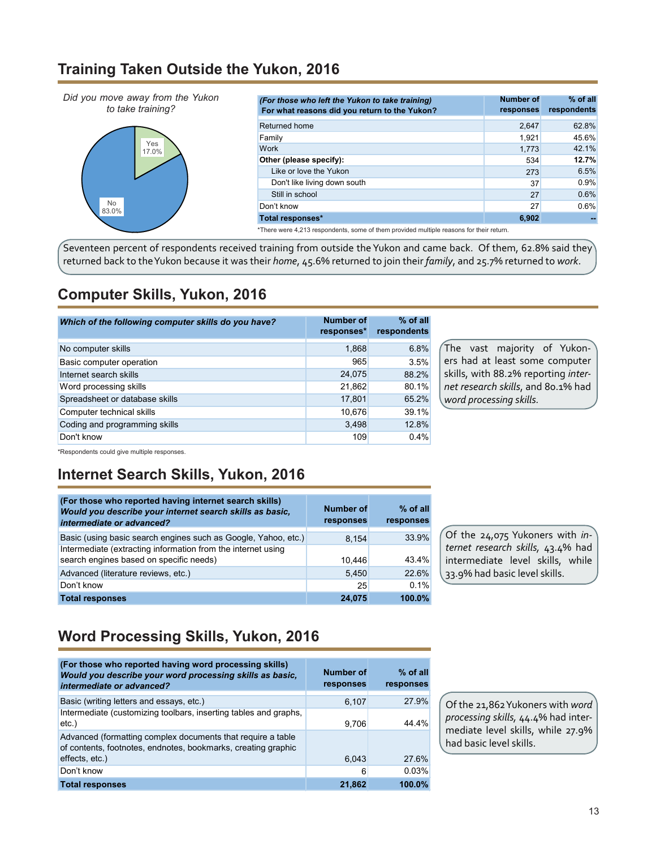#### **Training Taken Outside the Yukon, 2016**



\*There were 4,213 respondents, some of them provided multiple reasons for their return.

Seventeen percent of respondents received training from outside the Yukon and came back. Of them, 62.8% said they returned back to the Yukon because it was their *home*, 45.6% returned to join their *family*, and 25.7% returned to *work*.

## **Computer Skills, Yukon, 2016**

| Which of the following computer skills do you have? | <b>Number of</b><br>responses* | $%$ of all<br>respondents |
|-----------------------------------------------------|--------------------------------|---------------------------|
| No computer skills                                  | 1,868                          | 6.8%                      |
| Basic computer operation                            | 965                            | 3.5%                      |
| Internet search skills                              | 24,075                         | 88.2%                     |
| Word processing skills                              | 21,862                         | 80.1%                     |
| Spreadsheet or database skills                      | 17,801                         | 65.2%                     |
| Computer technical skills                           | 10,676                         | 39.1%                     |
| Coding and programming skills                       | 3,498                          | 12.8%                     |
| Don't know                                          | 109                            | 0.4%                      |

The vast majority of Yukoners had at least some computer skills, with 88.2% reporting *internet research skills*, and 80.1% had *word processing skills.*

\*Respondents could give multiple responses.

# **Internet Search Skills, Yukon, 2016**

| (For those who reported having internet search skills)<br>Would you describe your internet search skills as basic,<br>intermediate or advanced? | Number of<br>responses | $%$ of all<br>responses |
|-------------------------------------------------------------------------------------------------------------------------------------------------|------------------------|-------------------------|
| Basic (using basic search engines such as Google, Yahoo, etc.)                                                                                  | 8.154                  | 33.9%                   |
| Intermediate (extracting information from the internet using<br>search engines based on specific needs)                                         | 10.446                 | 43.4%                   |
| Advanced (literature reviews, etc.)                                                                                                             | 5.450                  | 22.6%                   |
| Don't know                                                                                                                                      | 25                     | 0.1%                    |
| <b>Total responses</b>                                                                                                                          | 24.075                 | 100.0%                  |

Of the 24,075 Yukoners with *internet research skills,* 43.4% had intermediate level skills, while 33.9% had basic level skills.

# **Word Processing Skills, Yukon, 2016**

| (For those who reported having word processing skills)<br>Would you describe your word processing skills as basic.<br>intermediate or advanced? | Number of<br>responses | $%$ of all<br>responses |
|-------------------------------------------------------------------------------------------------------------------------------------------------|------------------------|-------------------------|
| Basic (writing letters and essays, etc.)                                                                                                        | 6,107                  | 27.9%                   |
| Intermediate (customizing toolbars, inserting tables and graphs,<br>$etc.$ )                                                                    | 9.706                  | 44 4%                   |
| Advanced (formatting complex documents that require a table<br>of contents, footnotes, endnotes, bookmarks, creating graphic                    |                        |                         |
| effects, etc.)                                                                                                                                  | 6,043                  | 27.6%                   |
| Don't know                                                                                                                                      | 6                      | 0.03%                   |
| <b>Total responses</b>                                                                                                                          | 21,862                 | 100.0%                  |

Of the 21,862 Yukoners with *word processing skills,* 44.4% had intermediate level skills, while 27.9% had basic level skills.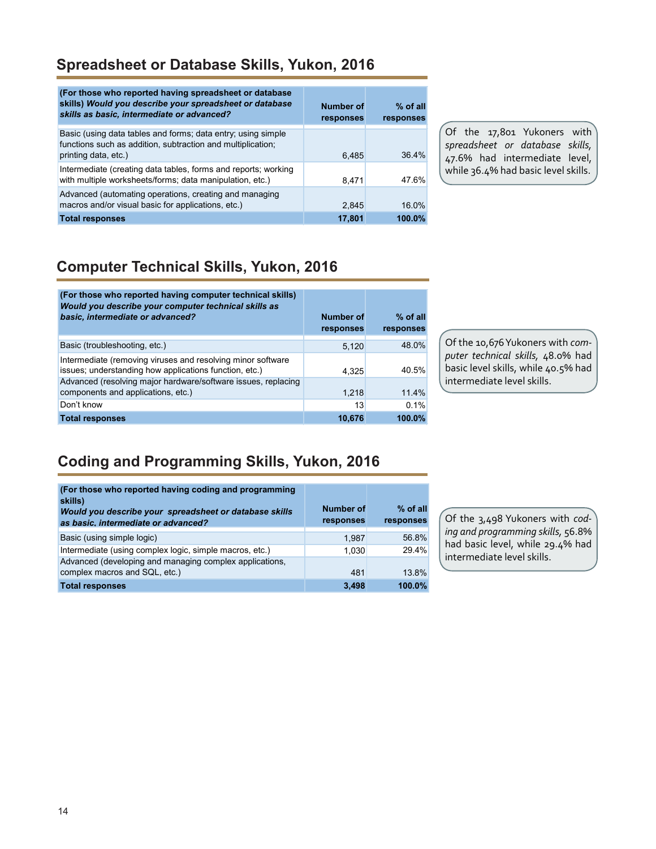### **Spreadsheet or Database Skills, Yukon, 2016**

| (For those who reported having spreadsheet or database<br>skills) Would you describe your spreadsheet or database<br>skills as basic, intermediate or advanced? | Number of<br>responses | $%$ of all<br>responses |
|-----------------------------------------------------------------------------------------------------------------------------------------------------------------|------------------------|-------------------------|
| Basic (using data tables and forms; data entry; using simple<br>functions such as addition, subtraction and multiplication;<br>printing data, etc.)             | 6.485                  | 364%                    |
| Intermediate (creating data tables, forms and reports; working<br>with multiple worksheets/forms; data manipulation, etc.)                                      | 8.471                  | 47.6%                   |
| Advanced (automating operations, creating and managing<br>macros and/or visual basic for applications, etc.)                                                    | 2,845                  | $16.0\%$                |
| <b>Total responses</b>                                                                                                                                          | 17,801                 | 100.0%                  |

Of the 17,801 Yukoners with *spreadsheet or database skills,* 47.6% had intermediate level, while 36.4% had basic level skills.

# **Computer Technical Skills, Yukon, 2016**

| (For those who reported having computer technical skills)<br>Would you describe your computer technical skills as<br>basic, intermediate or advanced? | <b>Number of</b><br>responses | % of all<br>responses |
|-------------------------------------------------------------------------------------------------------------------------------------------------------|-------------------------------|-----------------------|
| Basic (troubleshooting, etc.)                                                                                                                         | 5.120                         | 48.0%                 |
| Intermediate (removing viruses and resolving minor software<br>issues; understanding how applications function, etc.)                                 | 4.325                         | 40.5%                 |
| Advanced (resolving major hardware/software issues, replacing<br>components and applications, etc.)                                                   | 1,218                         | 11.4%                 |
| Don't know                                                                                                                                            | 13                            | 0.1%                  |
| <b>Total responses</b>                                                                                                                                | 10.676                        | 100.0%                |

Of the 10,676 Yukoners with *computer technical skills,* 48.0% had basic level skills, while 40.5% had intermediate level skills.

# **Coding and Programming Skills, Yukon, 2016**

| (For those who reported having coding and programming<br>skills)<br>Would you describe your spreadsheet or database skills<br>as basic, intermediate or advanced? | Number of<br>responses | $%$ of all<br>responses |
|-------------------------------------------------------------------------------------------------------------------------------------------------------------------|------------------------|-------------------------|
| Basic (using simple logic)                                                                                                                                        | 1.987                  | 56.8%                   |
| Intermediate (using complex logic, simple macros, etc.)                                                                                                           | 1,030                  | 29.4%                   |
| Advanced (developing and managing complex applications,<br>complex macros and SQL, etc.)                                                                          | 481                    | 13.8%                   |
| <b>Total responses</b>                                                                                                                                            | 3.498                  | 100.0%                  |

Of the 3,498 Yukoners with *coding and programming skills,* 56.8% had basic level, while 29.4% had intermediate level skills.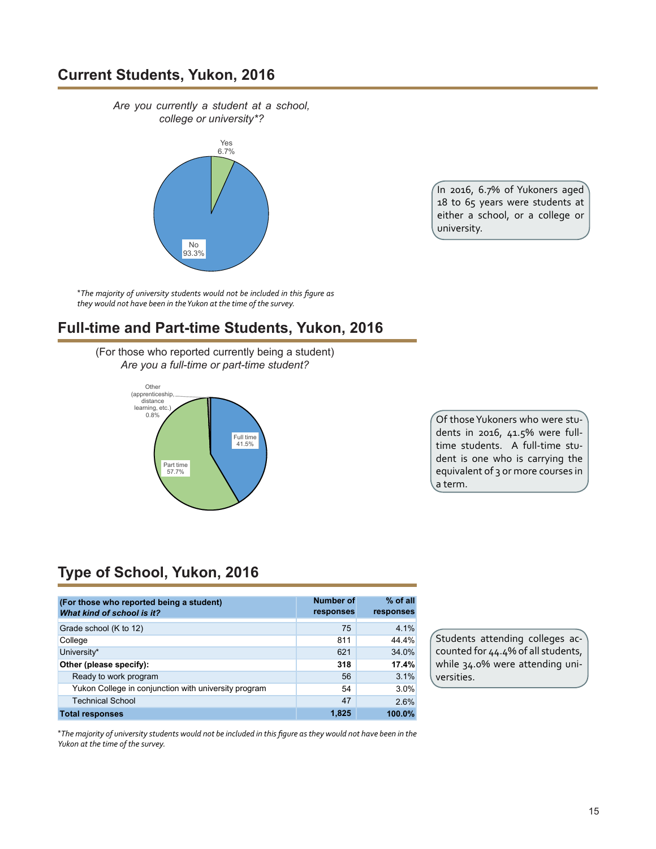#### **Current Students, Yukon, 2016**

*Are you currently a student at a school, college or university\*?*



In 2016, 6.7% of Yukoners aged 18 to 65 years were students at either a school, or a college or university.

\**The majority of university students would not be included in this figure as they would not have been in the Yukon at the time of the survey.*

#### **Full-time and Part-time Students, Yukon, 2016**

(For those who reported currently being a student) *Are you a full-time or part-time student?*



Of those Yukoners who were students in 2016, 41.5% were fulltime students. A full-time student is one who is carrying the equivalent of 3 or more courses in a term.

# **Type of School, Yukon, 2016**

| (For those who reported being a student)<br>What kind of school is it? | Number of<br>responses | % of all<br>responses |
|------------------------------------------------------------------------|------------------------|-----------------------|
| Grade school (K to 12)                                                 | 75                     | 4.1%                  |
| College                                                                | 811                    | 44.4%                 |
| University*                                                            | 621                    | 34.0%                 |
| Other (please specify):                                                | 318                    | 17.4%                 |
| Ready to work program                                                  | 56                     | 3.1%                  |
| Yukon College in conjunction with university program                   | 54                     | 3.0%                  |
| <b>Technical School</b>                                                | 47                     | 2.6%                  |
| <b>Total responses</b>                                                 | 1.825                  | 100.0%                |

Students attending colleges accounted for 44.4% of all students, while 34.0% were attending universities.

\*The majority of university students would not be included in this figure as they would not have been in the *Yukon at the time of the survey.*